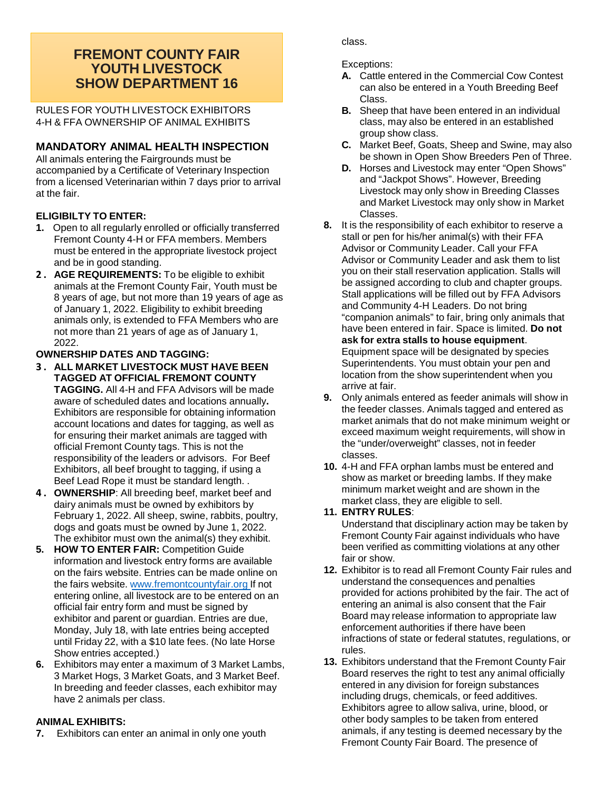## **FREMONT COUNTY FAIR YOUTH LIVESTOCK SHOW DEPARTMENT 16**

RULES FOR YOUTH LIVESTOCK EXHIBITORS 4-H & FFA OWNERSHIP OF ANIMAL EXHIBITS

## **MANDATORY ANIMAL HEALTH INSPECTION**

All animals entering the Fairgrounds must be accompanied by a Certificate of Veterinary Inspection from a licensed Veterinarian within 7 days prior to arrival at the fair.

### **ELIGIBILTY TO ENTER:**

- **1.** Open to all regularly enrolled or officially transferred Fremont County 4-H or FFA members. Members must be entered in the appropriate livestock project and be in good standing.
- **2 . AGE REQUIREMENTS:** To be eligible to exhibit animals at the Fremont County Fair, Youth must be 8 years of age, but not more than 19 years of age as of January 1, 2022. Eligibility to exhibit breeding animals only, is extended to FFA Members who are not more than 21 years of age as of January 1, 2022.

### **OWNERSHIP DATES AND TAGGING:**

- **3 . ALL MARKET LIVESTOCK MUST HAVE BEEN TAGGED AT OFFICIAL FREMONT COUNTY TAGGING.** All 4-H and FFA Advisors will be made aware of scheduled dates and locations annually**.** Exhibitors are responsible for obtaining information account locations and dates for tagging, as well as for ensuring their market animals are tagged with official Fremont County tags. This is not the responsibility of the leaders or advisors. For Beef Exhibitors, all beef brought to tagging, if using a Beef Lead Rope it must be standard length. .
- **4 . OWNERSHIP**: All breeding beef, market beef and dairy animals must be owned by exhibitors by February 1, 2022. All sheep, swine, rabbits, poultry, dogs and goats must be owned by June 1, 2022. The exhibitor must own the animal(s) they exhibit.
- **5. HOW TO ENTER FAIR:** Competition Guide information and livestock entry forms are available on the fairs website. Entries can be made online on the fairs website. [www.fremontcountyfair.org](http://www.fremontcountyfair.org/) If not entering online, all livestock are to be entered on an official fair entry form and must be signed by exhibitor and parent or guardian. Entries are due, Monday, July 18, with late entries being accepted until Friday 22, with a \$10 late fees. (No late Horse Show entries accepted.)
- **6.** Exhibitors may enter a maximum of 3 Market Lambs, 3 Market Hogs, 3 Market Goats, and 3 Market Beef. In breeding and feeder classes, each exhibitor may have 2 animals per class.

#### **ANIMAL EXHIBITS:**

**7.** Exhibitors can enter an animal in only one youth

class.

Exceptions:

- **A.** Cattle entered in the Commercial Cow Contest can also be entered in a Youth Breeding Beef Class.
- **B.** Sheep that have been entered in an individual class, may also be entered in an established group show class.
- **C.** Market Beef, Goats, Sheep and Swine, may also be shown in Open Show Breeders Pen of Three.
- **D.** Horses and Livestock may enter "Open Shows" and "Jackpot Shows". However, Breeding Livestock may only show in Breeding Classes and Market Livestock may only show in Market Classes.
- **8.** It is the responsibility of each exhibitor to reserve a stall or pen for his/her animal(s) with their FFA Advisor or Community Leader. Call your FFA Advisor or Community Leader and ask them to list you on their stall reservation application. Stalls will be assigned according to club and chapter groups. Stall applications will be filled out by FFA Advisors and Community 4-H Leaders. Do not bring "companion animals" to fair, bring only animals that have been entered in fair. Space is limited. **Do not ask for extra stalls to house equipment**. Equipment space will be designated by species Superintendents. You must obtain your pen and location from the show superintendent when you arrive at fair.
- **9.** Only animals entered as feeder animals will show in the feeder classes. Animals tagged and entered as market animals that do not make minimum weight or exceed maximum weight requirements, will show in the "under/overweight" classes, not in feeder classes.
- **10.** 4-H and FFA orphan lambs must be entered and show as market or breeding lambs. If they make minimum market weight and are shown in the market class, they are eligible to sell.

#### **11. ENTRY RULES**:

Understand that disciplinary action may be taken by Fremont County Fair against individuals who have been verified as committing violations at any other fair or show.

- **12.** Exhibitor is to read all Fremont County Fair rules and understand the consequences and penalties provided for actions prohibited by the fair. The act of entering an animal is also consent that the Fair Board may release information to appropriate law enforcement authorities if there have been infractions of state or federal statutes, regulations, or rules.
- **13.** Exhibitors understand that the Fremont County Fair Board reserves the right to test any animal officially entered in any division for foreign substances including drugs, chemicals, or feed additives. Exhibitors agree to allow saliva, urine, blood, or other body samples to be taken from entered animals, if any testing is deemed necessary by the Fremont County Fair Board. The presence of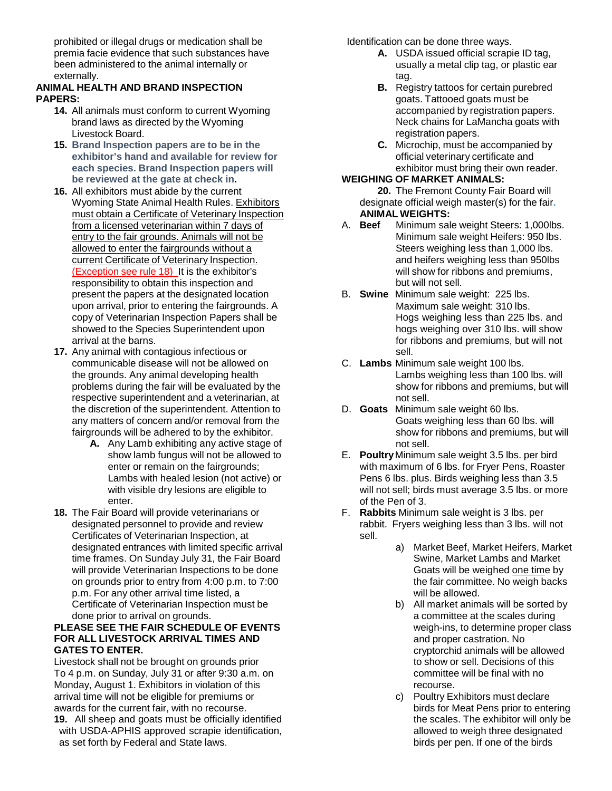prohibited or illegal drugs or medication shall be premia facie evidence that such substances have been administered to the animal internally or externally.

#### **ANIMAL HEALTH AND BRAND INSPECTION PAPERS:**

- **14.** All animals must conform to current Wyoming brand laws as directed by the Wyoming Livestock Board.
- **15. Brand Inspection papers are to be in the exhibitor's hand and available for review for each species. Brand Inspection papers will be reviewed at the gate at check in.**
- **16.** All exhibitors must abide by the current Wyoming State Animal Health Rules. Exhibitors must obtain a Certificate of Veterinary Inspection from a licensed veterinarian within 7 days of entry to the fair grounds. Animals will not be allowed to enter the fairgrounds without a current Certificate of Veterinary Inspection. (Exception see rule 18) It is the exhibitor's responsibility to obtain this inspection and present the papers at the designated location upon arrival, prior to entering the fairgrounds. A copy of Veterinarian Inspection Papers shall be showed to the Species Superintendent upon arrival at the barns.
- **17.** Any animal with contagious infectious or communicable disease will not be allowed on the grounds. Any animal developing health problems during the fair will be evaluated by the respective superintendent and a veterinarian, at the discretion of the superintendent. Attention to any matters of concern and/or removal from the fairgrounds will be adhered to by the exhibitor.
	- **A.** Any Lamb exhibiting any active stage of show lamb fungus will not be allowed to enter or remain on the fairgrounds; Lambs with healed lesion (not active) or with visible dry lesions are eligible to enter.
- **18.** The Fair Board will provide veterinarians or designated personnel to provide and review Certificates of Veterinarian Inspection, at designated entrances with limited specific arrival time frames. On Sunday July 31, the Fair Board will provide Veterinarian Inspections to be done on grounds prior to entry from 4:00 p.m. to 7:00 p.m. For any other arrival time listed, a Certificate of Veterinarian Inspection must be done prior to arrival on grounds.

#### **PLEASE SEE THE FAIR SCHEDULE OF EVENTS FOR ALL LIVESTOCK ARRIVAL TIMES AND GATES TO ENTER.**

Livestock shall not be brought on grounds prior To 4 p.m. on Sunday, July 31 or after 9:30 a.m. on Monday, August 1. Exhibitors in violation of this arrival time will not be eligible for premiums or awards for the current fair, with no recourse. **19.** All sheep and goats must be officially identified with USDA-APHIS approved scrapie identification, as set forth by Federal and State laws.

Identification can be done three ways.

- **A.** USDA issued official scrapie ID tag, usually a metal clip tag, or plastic ear tag.
- **B.** Registry tattoos for certain purebred goats. Tattooed goats must be accompanied by registration papers. Neck chains for LaMancha goats with registration papers.
- **C.** Microchip, must be accompanied by official veterinary certificate and exhibitor must bring their own reader.

## **WEIGHING OF MARKET ANIMALS:**

- **20.** The Fremont County Fair Board will designate official weigh master(s) for the fair**.**
- **ANIMAL WEIGHTS:** Minimum sale weight Steers: 1,000lbs. Minimum sale weight Heifers: 950 lbs. Steers weighing less than 1,000 lbs. and heifers weighing less than 950lbs will show for ribbons and premiums, but will not sell.
- B. **Swine** Minimum sale weight: 225 lbs. Maximum sale weight: 310 lbs. Hogs weighing less than 225 lbs. and hogs weighing over 310 lbs. will show for ribbons and premiums, but will not sell.
- C. **Lambs** Minimum sale weight 100 lbs. Lambs weighing less than 100 lbs. will show for ribbons and premiums, but will not sell.
- D. **Goats** Minimum sale weight 60 lbs. Goats weighing less than 60 lbs. will show for ribbons and premiums, but will not sell.
- E. **Poultry**Minimum sale weight 3.5 lbs. per bird with maximum of 6 lbs. for Fryer Pens, Roaster Pens 6 lbs. plus. Birds weighing less than 3.5 will not sell; birds must average 3.5 lbs. or more of the Pen of 3.
- F. **Rabbits** Minimum sale weight is 3 lbs. per rabbit. Fryers weighing less than 3 lbs. will not sell.
	- a) Market Beef, Market Heifers, Market Swine, Market Lambs and Market Goats will be weighed one time by the fair committee. No weigh backs will be allowed.
	- b) All market animals will be sorted by a committee at the scales during weigh-ins, to determine proper class and proper castration. No cryptorchid animals will be allowed to show or sell. Decisions of this committee will be final with no recourse.
	- c) Poultry Exhibitors must declare birds for Meat Pens prior to entering the scales. The exhibitor will only be allowed to weigh three designated birds per pen. If one of the birds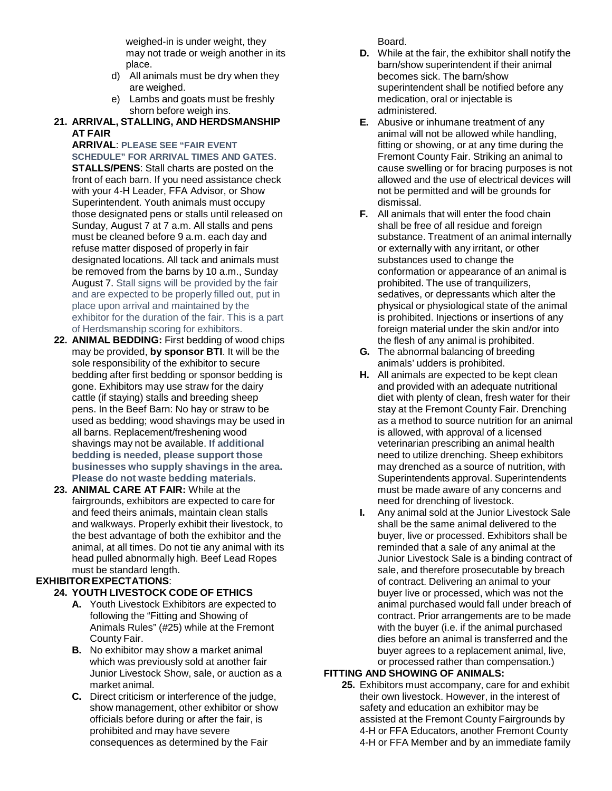weighed-in is under weight, they may not trade or weigh another in its place.

- d) All animals must be dry when they are weighed.
- e) Lambs and goats must be freshly shorn before weigh ins.
- **21. ARRIVAL, STALLING, AND HERDSMANSHIP AT FAIR**

**ARRIVAL**: **PLEASE SEE "FAIR EVENT SCHEDULE" FOR ARRIVAL TIMES AND GATES**. **STALLS/PENS**: Stall charts are posted on the front of each barn. If you need assistance check with your 4-H Leader, FFA Advisor, or Show Superintendent. Youth animals must occupy those designated pens or stalls until released on Sunday, August 7 at 7 a.m. All stalls and pens must be cleaned before 9 a.m. each day and refuse matter disposed of properly in fair designated locations. All tack and animals must be removed from the barns by 10 a.m., Sunday August 7. Stall signs will be provided by the fair and are expected to be properly filled out, put in place upon arrival and maintained by the exhibitor for the duration of the fair. This is a part of Herdsmanship scoring for exhibitors.

- **22. ANIMAL BEDDING:** First bedding of wood chips may be provided, **by sponsor BTI**. It will be the sole responsibility of the exhibitor to secure bedding after first bedding or sponsor bedding is gone. Exhibitors may use straw for the dairy cattle (if staying) stalls and breeding sheep pens. In the Beef Barn: No hay or straw to be used as bedding; wood shavings may be used in all barns. Replacement/freshening wood shavings may not be available. **If additional bedding is needed, please support those businesses who supply shavings in the area. Please do not waste bedding materials**.
- **23. ANIMAL CARE AT FAIR:** While at the fairgrounds, exhibitors are expected to care for and feed theirs animals, maintain clean stalls and walkways. Properly exhibit their livestock, to the best advantage of both the exhibitor and the animal, at all times. Do not tie any animal with its head pulled abnormally high. Beef Lead Ropes must be standard length.

# **EXHIBITOREXPECTATIONS**:

- **24. YOUTH LIVESTOCK CODE OF ETHICS**
	- **A.** Youth Livestock Exhibitors are expected to following the "Fitting and Showing of Animals Rules" (#25) while at the Fremont County Fair.
	- **B.** No exhibitor may show a market animal which was previously sold at another fair Junior Livestock Show, sale, or auction as a market animal.
	- **C.** Direct criticism or interference of the judge, show management, other exhibitor or show officials before during or after the fair, is prohibited and may have severe consequences as determined by the Fair

Board.

- **D.** While at the fair, the exhibitor shall notify the barn/show superintendent if their animal becomes sick. The barn/show superintendent shall be notified before any medication, oral or injectable is administered.
- **E.** Abusive or inhumane treatment of any animal will not be allowed while handling, fitting or showing, or at any time during the Fremont County Fair. Striking an animal to cause swelling or for bracing purposes is not allowed and the use of electrical devices will not be permitted and will be grounds for dismissal.
- **F.** All animals that will enter the food chain shall be free of all residue and foreign substance. Treatment of an animal internally or externally with any irritant, or other substances used to change the conformation or appearance of an animal is prohibited. The use of tranquilizers, sedatives, or depressants which alter the physical or physiological state of the animal is prohibited. Injections or insertions of any foreign material under the skin and/or into the flesh of any animal is prohibited.
- **G.** The abnormal balancing of breeding animals' udders is prohibited.
- **H.** All animals are expected to be kept clean and provided with an adequate nutritional diet with plenty of clean, fresh water for their stay at the Fremont County Fair. Drenching as a method to source nutrition for an animal is allowed, with approval of a licensed veterinarian prescribing an animal health need to utilize drenching. Sheep exhibitors may drenched as a source of nutrition, with Superintendents approval. Superintendents must be made aware of any concerns and need for drenching of livestock.
- **I.** Any animal sold at the Junior Livestock Sale shall be the same animal delivered to the buyer, live or processed. Exhibitors shall be reminded that a sale of any animal at the Junior Livestock Sale is a binding contract of sale, and therefore prosecutable by breach of contract. Delivering an animal to your buyer live or processed, which was not the animal purchased would fall under breach of contract. Prior arrangements are to be made with the buyer (i.e. if the animal purchased dies before an animal is transferred and the buyer agrees to a replacement animal, live, or processed rather than compensation.)

## **FITTING AND SHOWING OF ANIMALS:**

**25.** Exhibitors must accompany, care for and exhibit their own livestock. However, in the interest of safety and education an exhibitor may be assisted at the Fremont County Fairgrounds by 4-H or FFA Educators, another Fremont County 4-H or FFA Member and by an immediate family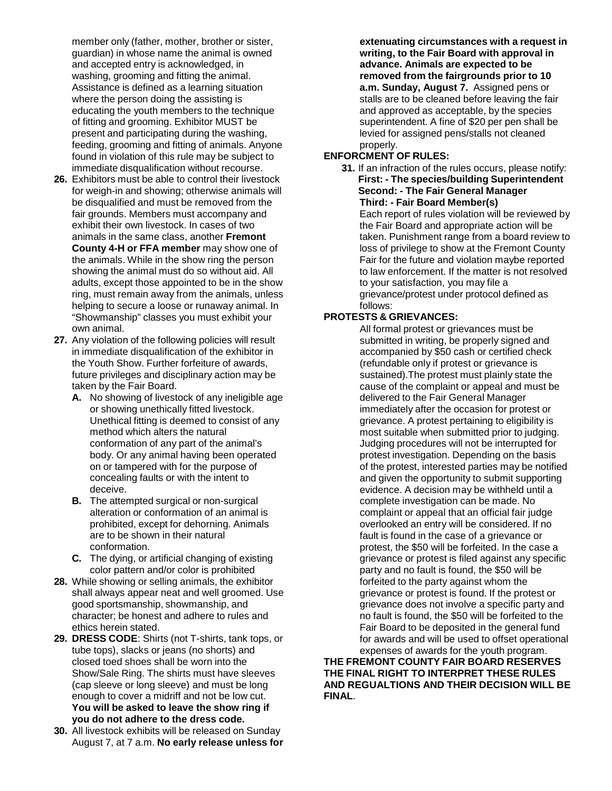member only (father, mother, brother or sister, guardian) in whose name the animal is owned and accepted entry is acknowledged, in washing, grooming and fitting the animal. Assistance is defined as a learning situation where the person doing the assisting is educating the youth members to the technique of fitting and grooming. Exhibitor MUST be present and participating during the washing, feeding, grooming and fitting of animals. Anyone found in violation of this rule may be subject to immediate disqualification without recourse.

- **26.** Exhibitors must be able to control their livestock for weigh-in and showing; otherwise animals will be disqualified and must be removed from the fair grounds. Members must accompany and exhibit their own livestock. In cases of two animals in the same class, another **Fremont County 4-H or FFA member** may show one of the animals. While in the show ring the person showing the animal must do so without aid. All adults, except those appointed to be in the show ring, must remain away from the animals, unless helping to secure a loose or runaway animal. In "Showmanship" classes you must exhibit your own animal.
- **27.** Any violation of the following policies will result in immediate disqualification of the exhibitor in the Youth Show. Further forfeiture of awards, future privileges and disciplinary action may be taken by the Fair Board.
	- **A.** No showing of livestock of any ineligible age or showing unethically fitted livestock. Unethical fitting is deemed to consist of any method which alters the natural conformation of any part of the animal's body. Or any animal having been operated on or tampered with for the purpose of concealing faults or with the intent to deceive.
	- **B.** The attempted surgical or non-surgical alteration or conformation of an animal is prohibited, except for dehorning. Animals are to be shown in their natural conformation.
	- **C.** The dying, or artificial changing of existing color pattern and/or color is prohibited
- **28.** While showing or selling animals, the exhibitor shall always appear neat and well groomed. Use good sportsmanship, showmanship, and character; be honest and adhere to rules and ethics herein stated.
- **29. DRESS CODE**: Shirts (not T-shirts, tank tops, or tube tops), slacks or jeans (no shorts) and closed toed shoes shall be worn into the Show/Sale Ring. The shirts must have sleeves (cap sleeve or long sleeve) and must be long enough to cover a midriff and not be low cut. **You will be asked to leave the show ring if you do not adhere to the dress code.**
- **30.** All livestock exhibits will be released on Sunday August 7, at 7 a.m. **No early release unless for**

**extenuating circumstances with a request in writing, to the Fair Board with approval in advance. Animals are expected to be removed from the fairgrounds prior to 10 a.m. Sunday, August 7.** Assigned pens or stalls are to be cleaned before leaving the fair and approved as acceptable, by the species superintendent. A fine of \$20 per pen shall be levied for assigned pens/stalls not cleaned properly.

## **ENFORCMENT OF RULES:**

**31.** If an infraction of the rules occurs, please notify: **First: - The species/building Superintendent Second: - The Fair General Manager Third: - Fair Board Member(s)**

Each report of rules violation will be reviewed by the Fair Board and appropriate action will be taken. Punishment range from a board review to loss of privilege to show at the Fremont County Fair for the future and violation maybe reported to law enforcement. If the matter is not resolved to your satisfaction, you may file a grievance/protest under protocol defined as follows:

### **PROTESTS & GRIEVANCES:**

All formal protest or grievances must be submitted in writing, be properly signed and accompanied by \$50 cash or certified check (refundable only if protest or grievance is sustained).The protest must plainly state the cause of the complaint or appeal and must be delivered to the Fair General Manager immediately after the occasion for protest or grievance. A protest pertaining to eligibility is most suitable when submitted prior to judging. Judging procedures will not be interrupted for protest investigation. Depending on the basis of the protest, interested parties may be notified and given the opportunity to submit supporting evidence. A decision may be withheld until a complete investigation can be made. No complaint or appeal that an official fair judge overlooked an entry will be considered. If no fault is found in the case of a grievance or protest, the \$50 will be forfeited. In the case a grievance or protest is filed against any specific party and no fault is found, the \$50 will be forfeited to the party against whom the grievance or protest is found. If the protest or grievance does not involve a specific party and no fault is found, the \$50 will be forfeited to the Fair Board to be deposited in the general fund for awards and will be used to offset operational expenses of awards for the youth program.

**THE FREMONT COUNTY FAIR BOARD RESERVES THE FINAL RIGHT TO INTERPRET THESE RULES AND REGUALTIONS AND THEIR DECISION WILL BE FINAL**.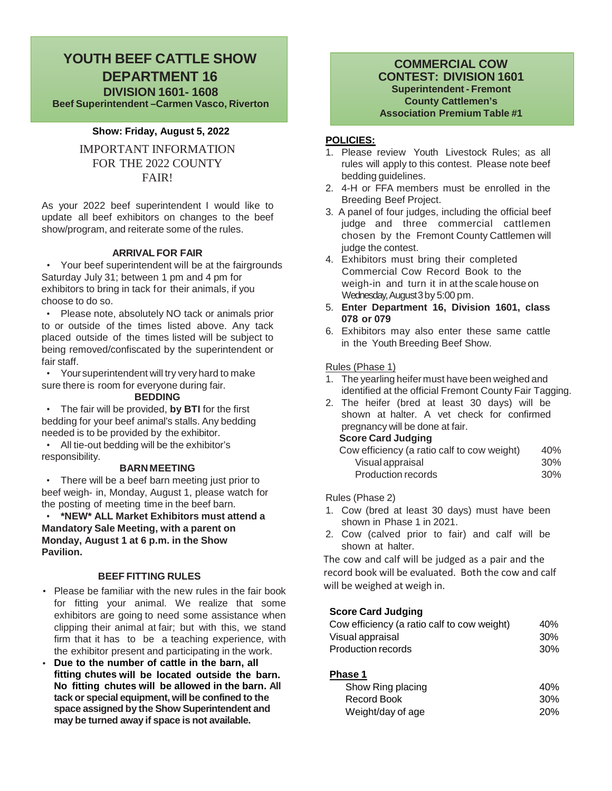## **YOUTH BEEF CATTLE SHOW DEPARTMENT 16 DIVISION 1601- 1608 Beef Superintendent –Carmen Vasco, Riverton**

#### **Show: Friday, August 5, 2022**

IMPORTANT INFORMATION FOR THE 2022 COUNTY FAIR!

As your 2022 beef superintendent I would like to update all beef exhibitors on changes to the beef show/program, and reiterate some of the rules.

#### **ARRIVAL FOR FAIR**

• Your beef superintendent will be at the fairgrounds Saturday July 31; between 1 pm and 4 pm for exhibitors to bring in tack for their animals, if you choose to do so.

• Please note, absolutely NO tack or animals prior to or outside of the times listed above. Any tack placed outside of the times listed will be subject to being removed/confiscated by the superintendent or fair staff.

• Your superintendent will try very hard to make sure there is room for everyone during fair.

#### **BEDDING**

• The fair will be provided, **by BTI** for the first bedding for your beef animal's stalls. Any bedding needed is to be provided by the exhibitor.

• All tie-out bedding will be the exhibitor's responsibility.

#### **BARN MEETING**

• There will be a beef barn meeting just prior to beef weigh- in, Monday, August 1, please watch for the posting of meeting time in the beef barn.

• **\*NEW\* ALL Market Exhibitors must attend a Mandatory Sale Meeting, with a parent on Monday, August 1 at 6 p.m. in the Show Pavilion.**

#### **BEEF FITTING RULES**

- Please be familiar with the new rules in the fair book for fitting your animal. We realize that some exhibitors are going to need some assistance when clipping their animal at fair; but with this, we stand firm that it has to be a teaching experience, with the exhibitor present and participating in the work.
- **Due to the number of cattle in the barn, all fitting chutes will be located outside the barn. No fitting chutes will be allowed in the barn. All tack or special equipment, will be confined to the space assigned by the Show Superintendent and may be turned away if space is not available.**

#### **COMMERCIAL COW CONTEST: DIVISION 1601 Superintendent - Fremont County Cattlemen's Association Premium Table #1**

#### **POLICIES:**

- 1. Please review Youth Livestock Rules; as all rules will apply to this contest. Please note beef bedding guidelines.
- 2. 4-H or FFA members must be enrolled in the Breeding Beef Project.
- 3. A panel of four judges, including the official beef judge and three commercial cattlemen chosen by the Fremont County Cattlemen will judge the contest.
- 4. Exhibitors must bring their completed Commercial Cow Record Book to the weigh-in and turn it in at the scale house on Wednesday, August 3 by 5:00 pm.
- 5. **Enter Department 16, Division 1601, class 078 or 079**
- 6. Exhibitors may also enter these same cattle in the Youth Breeding Beef Show.

#### Rules (Phase 1)

- 1. The yearling heifer must have been weighed and identified at the official Fremont County Fair Tagging.
- 2. The heifer (bred at least 30 days) will be shown at halter. A vet check for confirmed pregnancy will be done at fair.

#### **Score Card Judging**

| Cow efficiency (a ratio calf to cow weight) | 40% |
|---------------------------------------------|-----|
| Visual appraisal                            | 30% |
| Production records                          | 30% |

Rules (Phase 2)

- 1. Cow (bred at least 30 days) must have been shown in Phase 1 in 2021.
- 2. Cow (calved prior to fair) and calf will be shown at halter.

The cow and calf will be judged as a pair and the record book will be evaluated. Both the cow and calf will be weighed at weigh in.

#### **Score Card Judging**

| Cow efficiency (a ratio calf to cow weight) | 40% |
|---------------------------------------------|-----|
| Visual appraisal                            | 30% |
| Production records                          | 30% |

#### **Phase 1**

| Show Ring placing | 40%        |
|-------------------|------------|
| Record Book       | 30%        |
| Weight/day of age | <b>20%</b> |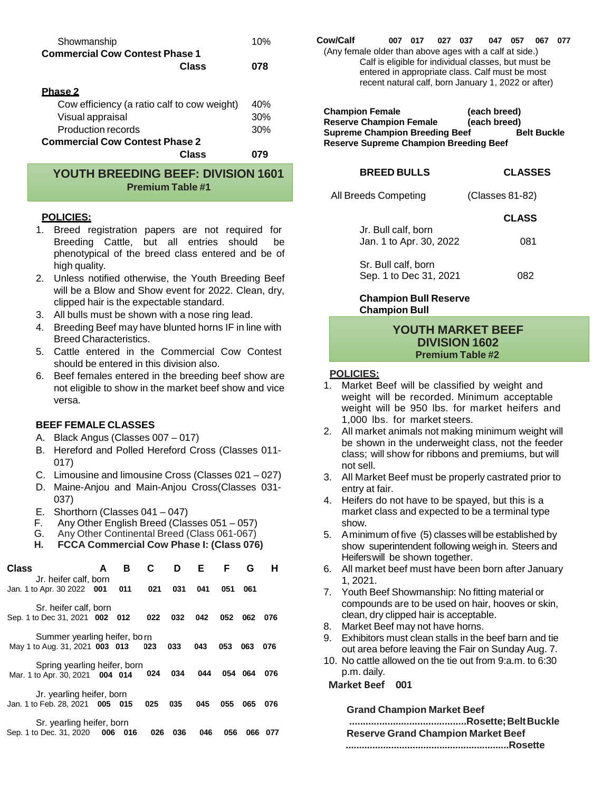| Showmanship                                 | 10% |
|---------------------------------------------|-----|
| <b>Commercial Cow Contest Phase 1</b>       |     |
| Class                                       | 078 |
|                                             |     |
| <b>Phase 2</b>                              |     |
| Cow efficiency (a ratio calf to cow weight) | 40% |
| Visual appraisal                            | 30% |
| <b>Production records</b>                   | 30% |
| <b>Commercial Cow Contest Phase 2</b>       |     |
| Class                                       |     |

**YOUTH BREEDING BEEF: DIVISION 1601 Premium Table #1**

#### **POLICIES:**

- 1. Breed registration papers are not required for Breeding Cattle, but all entries should be phenotypical of the breed class entered and be of high quality.
- 2. Unless notified otherwise, the Youth Breeding Beef will be a Blow and Show event for 2022. Clean, dry, clipped hair is the expectable standard.
- 3. All bulls must be shown with a nose ring lead.
- 4. Breeding Beef may have blunted horns IF in line with Breed Characteristics.
- 5. Cattle entered in the Commercial Cow Contest should be entered in this division also.
- 6. Beef females entered in the breeding beef show are not eligible to show in the market beef show and vice versa.

#### **BEEF FEMALE CLASSES**

- A. Black Angus (Classes 007 017)
- B. Hereford and Polled Hereford Cross (Classes 011- 017)
- C. Limousine and limousine Cross (Classes 021 027)
- D. Maine-Anjou and Main-Anjou Cross(Classes 031- 037)
- E. Shorthorn (Classes 041 047)<br>F. Any Other English Breed (Clas
- F. Any Other English Breed (Classes 051 057)
- G. Any Other Continental Breed (Class 061-067)<br>H. FCCA Commercial Cow Phase I: (Class 076
- **H. FCCA Commercial Cow Phase I: (Class 076)**

| <b>Class</b>                    | A   | в   | C   | D   | Е   | F   | G   | н   |
|---------------------------------|-----|-----|-----|-----|-----|-----|-----|-----|
| Jr. heifer calf, born           |     |     |     |     |     |     |     |     |
| Jan. 1 to Apr. 30 2022 001      |     | 011 | 021 | 031 | 041 | 051 | 061 |     |
| Sr. heifer calf, born           |     |     |     |     |     |     |     |     |
| Sep. 1 to Dec 31, 2021 002      |     | 012 | 022 | 032 | 042 | 052 | 062 | 076 |
| Summer yearling heifer, born    |     |     |     |     |     |     |     |     |
| May 1 to Aug. 31, 2021 003 013  |     |     | 023 | 033 | 043 | 053 | 063 | 076 |
| Spring yearling heifer, born    |     |     |     |     |     |     |     |     |
| Mar. 1 to Apr. 30, 2021 004 014 |     |     | 024 | 034 | 044 | 054 | 064 | 076 |
| Jr. yearling heifer, born       |     |     |     |     |     |     |     |     |
| Jan. 1 to Feb. 28, 2021         | 005 | 015 | 025 | 035 | 045 | 055 | 065 | 076 |
| Sr. yearling heifer, born       |     |     |     |     |     |     |     |     |
| Sep. 1 to Dec. 31, 2020         | 006 | 016 | 026 | 036 | 046 | 056 | 066 |     |

| Cow/Calf                                                |                                                      | 007 017 | 027 037 | 047 | 057 | 067 | 077 |
|---------------------------------------------------------|------------------------------------------------------|---------|---------|-----|-----|-----|-----|
| (Any female older than above ages with a calf at side.) |                                                      |         |         |     |     |     |     |
|                                                         | Calf is eligible for individual classes, but must be |         |         |     |     |     |     |
|                                                         | entered in appropriate class. Calf must be most      |         |         |     |     |     |     |
|                                                         | recent natural calf, born January 1, 2022 or after)  |         |         |     |     |     |     |

**Champion Female (each breed) Reserve Champion Female (each breed) Supreme Champion Breeding Beef Reserve Supreme Champion Breeding Beef**

| <b>BREED BULLS</b>                            | <b>CLASSES</b>  |
|-----------------------------------------------|-----------------|
| All Breeds Competing                          | (Classes 81-82) |
| Jr. Bull calf, born                           | <b>CLASS</b>    |
| Jan. 1 to Apr. 30, 2022                       | 081             |
| Sr. Bull calf, born<br>Sep. 1 to Dec 31, 2021 | 082             |

**Champion Bull Reserve Champion Bull**

#### **YOUTH MARKET BEEF DIVISION 1602 Premium Table #2**

#### **POLICIES:**

- 1. Market Beef will be classified by weight and weight will be recorded. Minimum acceptable weight will be 950 lbs. for market heifers and 1,000 lbs. for market steers.
- 2. All market animals not making minimum weight will be shown in the underweight class, not the feeder class; will show for ribbons and premiums, but will not sell.
- 3. All Market Beef must be properly castrated prior to entry at fair.
- 4. Heifers do not have to be spayed, but this is a market class and expected to be a terminal type show.
- 5. Aminimum of five (5) classes will be established by show superintendent following weigh in. Steers and Heiferswill be shown together.
- 6. All market beef must have been born after January 1, 2021.
- 7. Youth Beef Showmanship: No fitting material or compounds are to be used on hair, hooves or skin, clean, dry clipped hair is acceptable.
- 8. Market Beef may not have horns.
- 9. Exhibitors must clean stalls in the beef barn and tie out area before leaving the Fair on Sunday Aug. 7.
- 10. No cattle allowed on the tie out from 9:a.m. to 6:30 **024 034 044 054 064 076** p.m. daily.

#### **Market Beef 001**

#### **Grand Champion Market Beef**

**...........................................Rosette;BeltBuckle Reserve Grand Champion Market Beef .............................................................Rosette**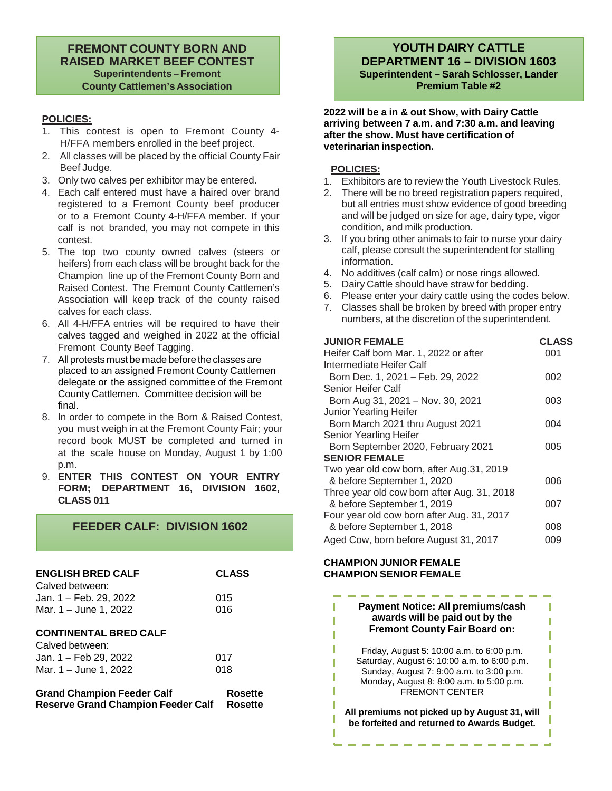### **FREMONT COUNTY BORN AND RAISED MARKET BEEF CONTEST Superintendents – Fremont County Cattlemen's Association**

#### **POLICIES:**

- 1. This contest is open to Fremont County 4- H/FFA members enrolled in the beef project.
- 2. All classes will be placed by the official County Fair Beef Judge.
- 3. Only two calves per exhibitor may be entered.
- 4. Each calf entered must have a haired over brand registered to a Fremont County beef producer or to a Fremont County 4-H/FFA member. If your calf is not branded, you may not compete in this contest.
- 5. The top two county owned calves (steers or heifers) from each class will be brought back for the Champion line up of the Fremont County Born and Raised Contest. The Fremont County Cattlemen's Association will keep track of the county raised calves for each class.
- 6. All 4-H/FFA entries will be required to have their calves tagged and weighed in 2022 at the official Fremont County Beef Tagging.
- 7. All protests must be made before the classes are placed to an assigned Fremont County Cattlemen delegate or the assigned committee of the Fremont County Cattlemen. Committee decision will be final.
- 8. In order to compete in the Born & Raised Contest, you must weigh in at the Fremont County Fair; your record book MUST be completed and turned in at the scale house on Monday, August 1 by 1:00 p.m.
- 9. **ENTER THIS CONTEST ON YOUR ENTRY FORM; DEPARTMENT 16, DIVISION 1602, CLASS 011**

## **FEEDER CALF: DIVISION 1602**

| <b>ENGLISH BRED CALF</b>                                                       | <b>CLASS</b>       |
|--------------------------------------------------------------------------------|--------------------|
| Calved between:<br>Jan. 1 – Feb. 29, 2022<br>Mar. 1 – June 1, 2022             | 015<br>016         |
| <b>CONTINENTAL BRED CALF</b>                                                   |                    |
| Calved between:<br>Jan. 1 – Feb 29. 2022                                       | 017                |
| Mar. 1 – June 1, 2022                                                          | 018                |
| <b>Grand Champion Feeder Calf</b><br><b>Reserve Grand Champion Feeder Calf</b> | Rosette<br>Rosette |

## **YOUTH DAIRY CATTLE DEPARTMENT 16 – DIVISION 1603 Superintendent – Sarah Schlosser, Lander Premium Table #2**

**2022 will be a in & out Show, with Dairy Cattle arriving between 7 a.m. and 7:30 a.m. and leaving after the show. Must have certification of veterinarian inspection.**

#### **POLICIES:**

- 1. Exhibitors are to review the Youth Livestock Rules.
- 2. There will be no breed registration papers required, but all entries must show evidence of good breeding and will be judged on size for age, dairy type, vigor condition, and milk production.
- 3. If you bring other animals to fair to nurse your dairy calf, please consult the superintendent for stalling information.
- 4. No additives (calf calm) or nose rings allowed.
- 5. Dairy Cattle should have straw for bedding.
- 6. Please enter your dairy cattle using the codes below.
- 7. Classes shall be broken by breed with proper entry numbers, at the discretion of the superintendent.

| <b>JUNIOR FEMALE</b>                        | <b>CLASS</b> |
|---------------------------------------------|--------------|
| Heifer Calf born Mar. 1, 2022 or after      | 001          |
| Intermediate Heifer Calf                    |              |
| Born Dec. 1, 2021 - Feb. 29, 2022           | 002          |
| Senior Heifer Calf                          |              |
| Born Aug 31, 2021 - Nov. 30, 2021           | 003          |
| <b>Junior Yearling Heifer</b>               |              |
| Born March 2021 thru August 2021            | 004          |
| Senior Yearling Heifer                      |              |
| Born September 2020, February 2021          | 005          |
| <b>SENIOR FEMALE</b>                        |              |
| Two year old cow born, after Aug.31, 2019   |              |
| & before September 1, 2020                  | 006          |
| Three year old cow born after Aug. 31, 2018 |              |
| & before September 1, 2019                  | 007          |
| Four year old cow born after Aug. 31, 2017  |              |
| & before September 1, 2018                  | 008          |
| Aged Cow, born before August 31, 2017       | 009          |

#### **CHAMPION JUNIOR FEMALE CHAMPION SENIOR FEMALE**

п

**Payment Notice: All premiums/cash** п **awards will be paid out by the** П T **Fremont County Fair Board on:** ī П Friday, August 5: 10:00 a.m. to 6:00 p.m. Saturday, August 6: 10:00 a.m. to 6:00 p.m. T Sunday, August 7: 9:00 a.m. to 3:00 p.m. Ī Monday, August 8: 8:00 a.m. to 5:00 p.m. FREMONT CENTER ī **All premiums not picked up by August 31, will be forfeited and returned to Awards Budget.**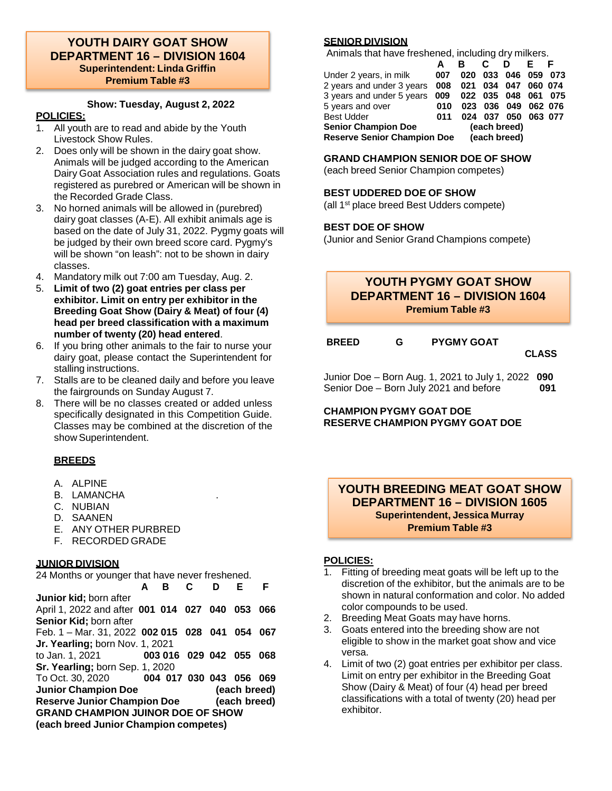#### **YOUTH DAIRY GOAT SHOW DEPARTMENT 16 – DIVISION 1604 Superintendent: Linda Griffin Premium Table #3**

## **Show: Tuesday, August 2, 2022**

#### **POLICIES:**

- 1. All youth are to read and abide by the Youth Livestock Show Rules.
- 2. Does only will be shown in the dairy goat show. Animals will be judged according to the American Dairy Goat Association rules and regulations. Goats registered as purebred or American will be shown in the Recorded Grade Class.
- 3. No horned animals will be allowed in (purebred) dairy goat classes (A-E). All exhibit animals age is based on the date of July 31, 2022. Pygmy goats will be judged by their own breed score card. Pygmy's will be shown "on leash": not to be shown in dairy classes.
- 4. Mandatory milk out 7:00 am Tuesday, Aug. 2.
- 5. **Limit of two (2) goat entries per class per exhibitor. Limit on entry per exhibitor in the Breeding Goat Show (Dairy & Meat) of four (4) head per breed classification with a maximum number of twenty (20) head entered**.
- 6. If you bring other animals to the fair to nurse your dairy goat, please contact the Superintendent for stalling instructions.
- 7. Stalls are to be cleaned daily and before you leave the fairgrounds on Sunday August 7.
- 8. There will be no classes created or added unless specifically designated in this Competition Guide. Classes may be combined at the discretion of the show Superintendent.

## **BREEDS**

- A. ALPINE
- B. LAMANCHA
- C. NUBIAN
- D. SAANEN
- E. ANY OTHER PURBRED
- F. RECORDED GRADE

## **JUNIOR DIVISION**

24 Months or younger that have never freshened.

| Junior kid; born after                      |  |  |              |      |
|---------------------------------------------|--|--|--------------|------|
| April 1, 2022 and after 001 014 027 040 053 |  |  |              | 066  |
| Senior Kid; born after                      |  |  |              |      |
| Feb. 1 - Mar. 31, 2022 002 015 028 041 054  |  |  |              | 067  |
| Jr. Yearling; born Nov. 1, 2021             |  |  |              |      |
| to Jan. 1, 2021 003 016 029 042 055         |  |  |              | -068 |
| Sr. Yearling; born Sep. 1, 2020             |  |  |              |      |
| To Oct. 30, 2020 004 017 030 043 056        |  |  |              | 069  |
| <b>Junior Champion Doe</b>                  |  |  | (each breed) |      |
| <b>Reserve Junior Champion Doe</b>          |  |  | (each breed) |      |
| <b>GRAND CHAMPION JUINOR DOE OF SHOW</b>    |  |  |              |      |
| (each breed Junior Champion competes)       |  |  |              |      |
|                                             |  |  |              |      |

## **SENIOR DIVISION**

Animals that have freshened, including dry milkers.

|                                    | A   |     | С | D                   |         |         |
|------------------------------------|-----|-----|---|---------------------|---------|---------|
| Under 2 years, in milk             | 007 | 020 |   | 033 046             |         | 059 073 |
| 2 years and under 3 years          | 008 |     |   | 021 034 047         | 060 074 |         |
| 3 years and under 5 years 009      |     |     |   | 022 035 048 061 075 |         |         |
| 5 years and over                   | 010 |     |   | 023 036 049 062 076 |         |         |
| <b>Best Udder</b>                  | 011 |     |   | 024 037 050 063 077 |         |         |
| <b>Senior Champion Doe</b>         |     |     |   | (each breed)        |         |         |
| <b>Reserve Senior Champion Doe</b> |     |     |   | (each breed)        |         |         |

## **GRAND CHAMPION SENIOR DOE OF SHOW**

(each breed Senior Champion competes)

## **BEST UDDERED DOE OF SHOW**

(all 1st place breed Best Udders compete)

## **BEST DOE OF SHOW**

(Junior and Senior Grand Champions compete)

## **YOUTH PYGMY GOAT SHOW DEPARTMENT 16 – DIVISION 1604 Premium Table #3**

| <b>BREED</b> | <b>PYGMY GOAT</b> |
|--------------|-------------------|
|              |                   |

**CLASS**

Junior Doe – Born Aug. 1, 2021 to July 1, 2022 **090** Senior Doe – Born July 2021 and before **091**

#### **CHAMPION PYGMY GOAT DOE RESERVE CHAMPION PYGMY GOAT DOE**

### **YOUTH BREEDING MEAT GOAT SHOW DEPARTMENT 16 – DIVISION 1605 Superintendent, Jessica Murray Premium Table #3**

- 1. Fitting of breeding meat goats will be left up to the discretion of the exhibitor, but the animals are to be shown in natural conformation and color. No added color compounds to be used.
- 2. Breeding Meat Goats may have horns.
- 3. Goats entered into the breeding show are not eligible to show in the market goat show and vice versa.
- 4. Limit of two (2) goat entries per exhibitor per class. Limit on entry per exhibitor in the Breeding Goat Show (Dairy & Meat) of four (4) head per breed classifications with a total of twenty (20) head per exhibitor.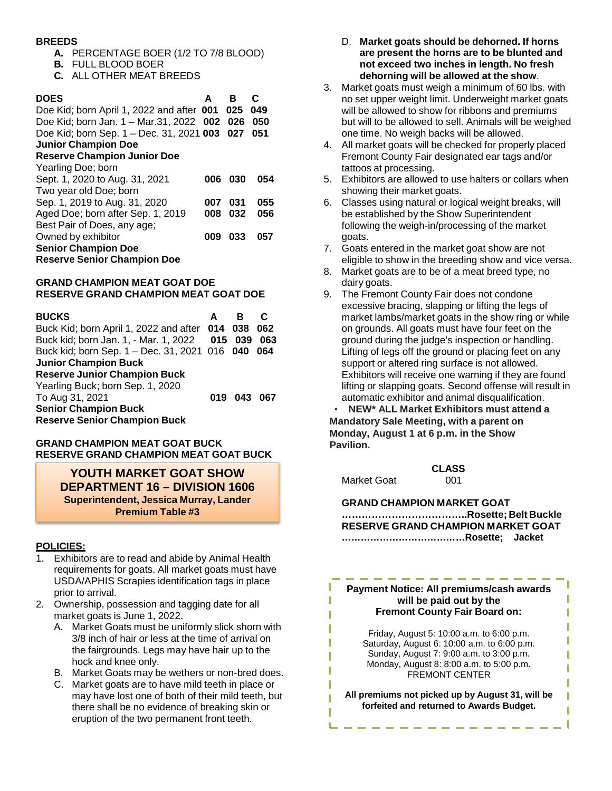#### **BREEDS**

- **A.** PERCENTAGE BOER (1/2 TO 7/8 BLOOD)
- **B.** FULL BLOOD BOER
- **C.** ALL OTHER MEAT BREEDS

| <b>DOES</b><br>Doe Kid; born April 1, 2022 and after 001 025<br>Doe Kid; born Jan. 1 - Mar.31, 2022 002<br>Doe Kid; born Sep. 1 - Dec. 31, 2021 003 027<br><b>Junior Champion Doe</b><br><b>Reserve Champion Junior Doe</b><br>Yearling Doe; born | A   | в<br>026 | C<br>049<br>050<br>051 |
|---------------------------------------------------------------------------------------------------------------------------------------------------------------------------------------------------------------------------------------------------|-----|----------|------------------------|
| Sept. 1, 2020 to Aug. 31, 2021                                                                                                                                                                                                                    | 006 | 030      | 054                    |
| Two year old Doe; born                                                                                                                                                                                                                            |     |          |                        |
| Sep. 1, 2019 to Aug. 31, 2020                                                                                                                                                                                                                     | 007 | 031      | 055                    |
| Aged Doe; born after Sep. 1, 2019                                                                                                                                                                                                                 | 008 | 032      | 056                    |
| Best Pair of Does, any age;                                                                                                                                                                                                                       |     |          |                        |
| Owned by exhibitor                                                                                                                                                                                                                                | 009 | 033      | 057                    |
| <b>Senior Champion Doe</b>                                                                                                                                                                                                                        |     |          |                        |
| <b>Reserve Senior Champion Doe</b>                                                                                                                                                                                                                |     |          |                        |

#### **GRAND CHAMPION MEAT GOAT DOE RESERVE GRAND CHAMPION MEAT GOAT DOE**

| <b>BUCKS</b>                                                       | A |             | С   |
|--------------------------------------------------------------------|---|-------------|-----|
| Buck Kid; born April 1, 2022 and after 014 038 062                 |   |             |     |
| Buck kid; born Jan. 1, - Mar. 1, 2022 015 039                      |   |             | 063 |
| Buck kid; born Sep. 1 - Dec. 31, 2021 016 040 064                  |   |             |     |
| <b>Junior Champion Buck</b>                                        |   |             |     |
| <b>Reserve Junior Champion Buck</b>                                |   |             |     |
| Yearling Buck; born Sep. 1, 2020                                   |   |             |     |
| To Aug 31, 2021                                                    |   | 019 043 067 |     |
| <b>Senior Champion Buck</b><br><b>Reserve Senior Champion Buck</b> |   |             |     |

#### **GRAND CHAMPION MEAT GOAT BUCK RESERVE GRAND CHAMPION MEAT GOAT BUCK**

#### **YOUTH MARKET GOAT SHOW DEPARTMENT 16 – DIVISION 1606 Superintendent, Jessica Murray, Lander Premium Table #3**

### **POLICIES:**

- Exhibitors are to read and abide by Animal Health requirements for goats. All market goats must have USDA/APHIS Scrapies identification tags in place prior to arrival.
- 2. Ownership, possession and tagging date for all market goats is June 1, 2022.
	- A. Market Goats must be uniformly slick shorn with 3/8 inch of hair or less at the time of arrival on the fairgrounds. Legs may have hair up to the hock and knee only.
	- B. Market Goats may be wethers or non-bred does.
	- C. Market goats are to have mild teeth in place or may have lost one of both of their mild teeth, but there shall be no evidence of breaking skin or eruption of the two permanent front teeth.
- D. **Market goats should be dehorned. If horns are present the horns are to be blunted and not exceed two inches in length. No fresh dehorning will be allowed at the show**.
- 3. Market goats must weigh a minimum of 60 lbs. with no set upper weight limit. Underweight market goats will be allowed to show for ribbons and premiums but will to be allowed to sell. Animals will be weighed one time. No weigh backs will be allowed.
- 4. All market goats will be checked for properly placed Fremont County Fair designated ear tags and/or tattoos at processing.
- 5. Exhibitors are allowed to use halters or collars when showing their market goats.
- 6. Classes using natural or logical weight breaks, will be established by the Show Superintendent following the weigh-in/processing of the market goats.
- 7. Goats entered in the market goat show are not eligible to show in the breeding show and vice versa.
- 8. Market goats are to be of a meat breed type, no dairy goats.
- 9. The Fremont County Fair does not condone excessive bracing, slapping or lifting the legs of market lambs/market goats in the show ring or while on grounds. All goats must have four feet on the ground during the judge's inspection or handling. Lifting of legs off the ground or placing feet on any support or altered ring surface is not allowed. Exhibitors will receive one warning if they are found lifting or slapping goats. Second offense will result in automatic exhibitor and animal disqualification.

• **NEW\* ALL Market Exhibitors must attend a Mandatory Sale Meeting, with a parent on Monday, August 1 at 6 p.m. in the Show Pavilion.**

Market Goat 001

I

ī

П

T

ī

T

П

ī

**CLASS**

**GRAND CHAMPION MARKET GOAT ………………………………..Rosette; Belt Buckle**

**RESERVE GRAND CHAMPION MARKET GOAT …………………………………Rosette; Jacket**

**Payment Notice: All premiums/cash awards will be paid out by the Fremont County Fair Board on:**

ı I

T

Ī

T

T

T

T

П

п - 1

Friday, August 5: 10:00 a.m. to 6:00 p.m. Saturday, August 6: 10:00 a.m. to 6:00 p.m. Sunday, August 7: 9:00 a.m. to 3:00 p.m. Monday, August 8: 8:00 a.m. to 5:00 p.m. FREMONT CENTER

**All premiums not picked up by August 31, will be forfeited and returned to Awards Budget.**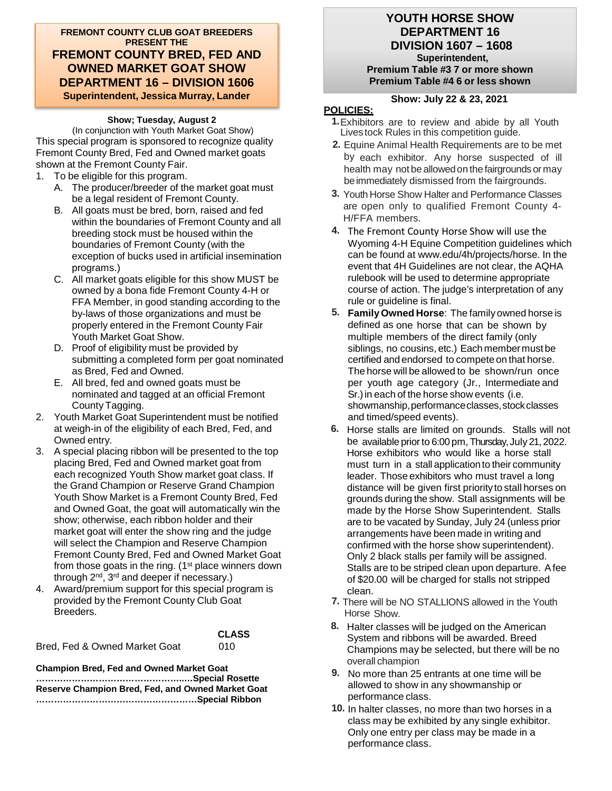**FREMONT COUNTY CLUB GOAT BREEDERS PRESENT THE FREMONT COUNTY BRED, FED AND OWNED MARKET GOAT SHOW DEPARTMENT 16 – DIVISION 1606 Superintendent, Jessica Murray, Lander**

#### **Show; Tuesday, August 2**

(In conjunction with Youth Market Goat Show) This special program is sponsored to recognize quality Fremont County Bred, Fed and Owned market goats shown at the Fremont County Fair.

- 1. To be eligible for this program.
	- A. The producer/breeder of the market goat must be a legal resident of Fremont County.
	- B. All goats must be bred, born, raised and fed within the boundaries of Fremont County and all breeding stock must be housed within the boundaries of Fremont County (with the exception of bucks used in artificial insemination programs.)
	- C. All market goats eligible for this show MUST be owned by a bona fide Fremont County 4-H or FFA Member, in good standing according to the by-laws of those organizations and must be properly entered in the Fremont County Fair Youth Market Goat Show.
	- D. Proof of eligibility must be provided by submitting a completed form per goat nominated as Bred, Fed and Owned.
	- E. All bred, fed and owned goats must be nominated and tagged at an official Fremont County Tagging.
- 2. Youth Market Goat Superintendent must be notified at weigh-in of the eligibility of each Bred, Fed, and Owned entry.
- 3. A special placing ribbon will be presented to the top placing Bred, Fed and Owned market goat from each recognized Youth Show market goat class. If the Grand Champion or Reserve Grand Champion Youth Show Market is a Fremont County Bred, Fed and Owned Goat, the goat will automatically win the show; otherwise, each ribbon holder and their market goat will enter the show ring and the judge will select the Champion and Reserve Champion Fremont County Bred, Fed and Owned Market Goat from those goats in the ring. (1<sup>st</sup> place winners down through 2nd, 3rd and deeper if necessary.)
- 4. Award/premium support for this special program is provided by the Fremont County Club Goat Breeders.

Bred, Fed & Owned Market Goat 010

**CLASS**

**Champion Bred, Fed and Owned Market Goat …………………………………………..…Special Rosette**

| Reserve Champion Bred, Fed, and Owned Market Goat |  |
|---------------------------------------------------|--|
|                                                   |  |

#### **YOUTH HORSE SHOW DEPARTMENT 16 DIVISION 1607 – 1608 Superintendent,**

**Premium Table #3 7 or more shown Premium Table #4 6 or less shown**

#### **Show: July 22 & 23, 2021**

- **1.**Exhibitors are to review and abide by all Youth Lives tock Rules in this competition guide.
- **2.** Equine Animal Health Requirements are to be met by each exhibitor. Any horse suspected of ill health may not be allowed on the fairgrounds or may beimmediately dismissed from the fairgrounds.
- **3.** Youth Horse Show Halter and Performance Classes are open only to qualified Fremont County 4- H/FFA members.
- **4.** The Fremont County Horse Show will use the Wyoming 4-H Equine Competition guidelines which can be found at www.edu/4h/projects/horse. In the event that 4H Guidelines are not clear, the AQHA rulebook will be used to determine appropriate course of action. The judge's interpretation of any rule or guideline is final.
- **5. FamilyOwned Horse**: The familyowned horse is defined as one horse that can be shown by multiple members of the direct family (only siblings, no cousins, etc.) Each member must be certified and endorsed to compete on that horse. The horse will be allowed to be shown/run once per youth age category (Jr., Intermediate and Sr.) in each of the horse show events (i.e. showmanship, performance classes, stock classes and timed/speed events).
- **6.** Horse stalls are limited on grounds. Stalls will not be available prior to 6:00 pm, Thursday, July 21, 2022. Horse exhibitors who would like a horse stall must turn in a stall application to their community leader. Those exhibitors who must travel a long distance will be given first priority to stall horses on grounds during the show. Stall assignments will be made by the Horse Show Superintendent. Stalls are to be vacated by Sunday, July 24 (unless prior arrangements have been made in writing and confirmed with the horse show superintendent). Only 2 black stalls per family will be assigned. Stalls are to be striped clean upon departure. Afee of \$20.00 will be charged for stalls not stripped clean.
- **7.** There will be NO STALLIONS allowed in the Youth Horse Show.
- **8.** Halter classes will be judged on the American System and ribbons will be awarded. Breed Champions may be selected, but there will be no overall champion
- **9.** No more than 25 entrants at one time will be allowed to show in any showmanship or performance class.
- **10.** In halter classes, no more than two horses in a class may be exhibited by any single exhibitor. Only one entry per class may be made in a performance class.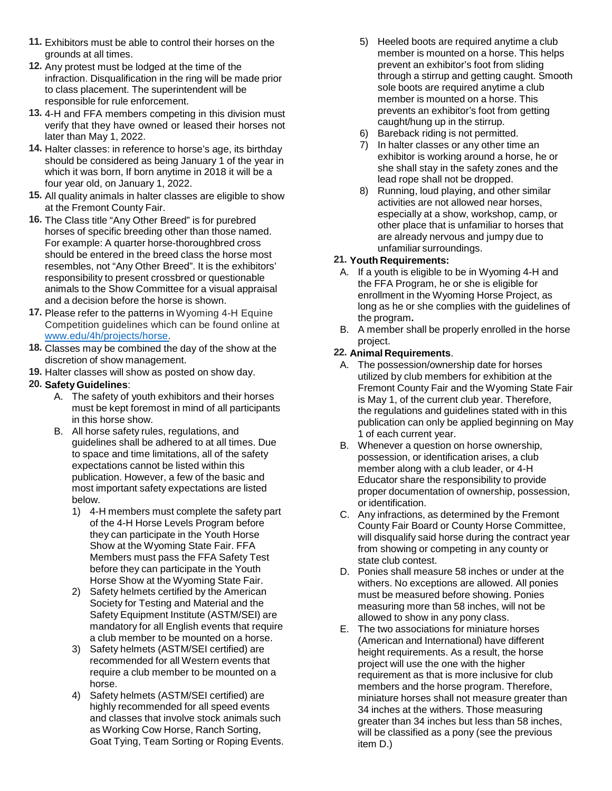- **11.** Exhibitors must be able to control their horses on the grounds at all times.
- **12.** Any protest must be lodged at the time of the infraction. Disqualification in the ring will be made prior to class placement. The superintendent will be responsible for rule enforcement.
- **13.** 4-H and FFA members competing in this division must verify that they have owned or leased their horses not later than May 1, 2022.
- **14.** Halter classes: in reference to horse's age, its birthday should be considered as being January 1 of the year in which it was born, If born anytime in 2018 it will be a four year old, on January 1, 2022.
- **15.** All quality animals in halter classes are eligible to show at the Fremont County Fair.
- **16.** The Class title "Any Other Breed" is for purebred horses of specific breeding other than those named. For example: A quarter horse-thoroughbred cross should be entered in the breed class the horse most resembles, not "Any Other Breed". It is the exhibitors' responsibility to present crossbred or questionable animals to the Show Committee for a visual appraisal and a decision before the horse is shown.
- **17.** Please refer to the patterns in Wyoming 4-H Equine Competition guidelines which can be found online at www.edu/4h/projects/horse.
- **18.** Classes may be combined the day of the show at the discretion of show management.
- **19.** Halter classes will show as posted on show day.

## **20. Safety Guidelines**:

- A. The safety of youth exhibitors and their horses must be kept foremost in mind of all participants in this horse show.
- B. All horse safety rules, regulations, and guidelines shall be adhered to at all times. Due to space and time limitations, all of the safety expectations cannot be listed within this publication. However, a few of the basic and most important safety expectations are listed below.
	- 1) 4-H members must complete the safety part of the 4-H Horse Levels Program before they can participate in the Youth Horse Show at the Wyoming State Fair. FFA Members must pass the FFA Safety Test before they can participate in the Youth Horse Show at the Wyoming State Fair.
	- 2) Safety helmets certified by the American Society for Testing and Material and the Safety Equipment Institute (ASTM/SEI) are mandatory for all English events that require a club member to be mounted on a horse.
	- 3) Safety helmets (ASTM/SEI certified) are recommended for all Western events that require a club member to be mounted on a horse.
	- 4) Safety helmets (ASTM/SEI certified) are highly recommended for all speed events and classes that involve stock animals such as Working Cow Horse, Ranch Sorting, Goat Tying, Team Sorting or Roping Events.
- 5) Heeled boots are required anytime a club member is mounted on a horse. This helps prevent an exhibitor's foot from sliding through a stirrup and getting caught. Smooth sole boots are required anytime a club member is mounted on a horse. This prevents an exhibitor's foot from getting caught/hung up in the stirrup.
- 6) Bareback riding is not permitted.
- 7) In halter classes or any other time an exhibitor is working around a horse, he or she shall stay in the safety zones and the lead rope shall not be dropped.
- 8) Running, loud playing, and other similar activities are not allowed near horses, especially at a show, workshop, camp, or other place that is unfamiliar to horses that are already nervous and jumpy due to unfamiliar surroundings.

### **21. Youth Requirements:**

- A. If a youth is eligible to be in Wyoming 4-H and the FFA Program, he or she is eligible for enrollment in the Wyoming Horse Project, as long as he or she complies with the guidelines of the program**.**
- B. A member shall be properly enrolled in the horse project.

## **22. Animal Requirements**.

- A. The possession/ownership date for horses utilized by club members for exhibition at the Fremont County Fair and the Wyoming State Fair is May 1, of the current club year. Therefore, the regulations and guidelines stated with in this publication can only be applied beginning on May 1 of each current year.
- B. Whenever a question on horse ownership, possession, or identification arises, a club member along with a club leader, or 4-H Educator share the responsibility to provide proper documentation of ownership, possession, or identification.
- C. Any infractions, as determined by the Fremont County Fair Board or County Horse Committee, will disqualify said horse during the contract year from showing or competing in any county or state club contest.
- D. Ponies shall measure 58 inches or under at the withers. No exceptions are allowed. All ponies must be measured before showing. Ponies measuring more than 58 inches, will not be allowed to show in any pony class.
- E. The two associations for miniature horses (American and International) have different height requirements. As a result, the horse project will use the one with the higher requirement as that is more inclusive for club members and the horse program. Therefore, miniature horses shall not measure greater than 34 inches at the withers. Those measuring greater than 34 inches but less than 58 inches, will be classified as a pony (see the previous item D.)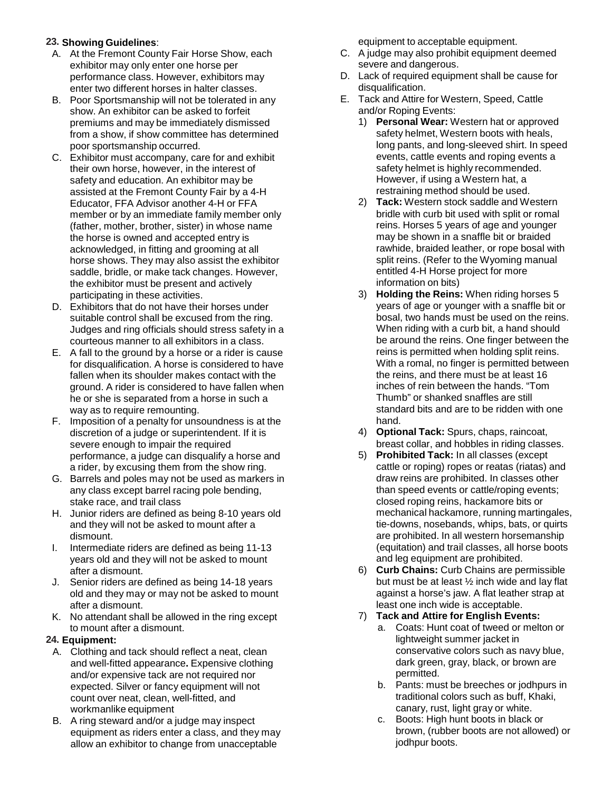## **23. Showing Guidelines**:

- A. At the Fremont County Fair Horse Show, each exhibitor may only enter one horse per performance class. However, exhibitors may enter two different horses in halter classes.
- B. Poor Sportsmanship will not be tolerated in any show. An exhibitor can be asked to forfeit premiums and may be immediately dismissed from a show, if show committee has determined poor sportsmanship occurred.
- C. Exhibitor must accompany, care for and exhibit their own horse, however, in the interest of safety and education. An exhibitor may be assisted at the Fremont County Fair by a 4-H Educator, FFA Advisor another 4-H or FFA member or by an immediate family member only (father, mother, brother, sister) in whose name the horse is owned and accepted entry is acknowledged, in fitting and grooming at all horse shows. They may also assist the exhibitor saddle, bridle, or make tack changes. However, the exhibitor must be present and actively participating in these activities.
- D. Exhibitors that do not have their horses under suitable control shall be excused from the ring. Judges and ring officials should stress safety in a courteous manner to all exhibitors in a class.
- E. A fall to the ground by a horse or a rider is cause for disqualification. A horse is considered to have fallen when its shoulder makes contact with the ground. A rider is considered to have fallen when he or she is separated from a horse in such a way as to require remounting.
- F. Imposition of a penalty for unsoundness is at the discretion of a judge or superintendent. If it is severe enough to impair the required performance, a judge can disqualify a horse and a rider, by excusing them from the show ring.
- G. Barrels and poles may not be used as markers in any class except barrel racing pole bending, stake race, and trail class
- H. Junior riders are defined as being 8-10 years old and they will not be asked to mount after a dismount.
- I. Intermediate riders are defined as being 11-13 years old and they will not be asked to mount after a dismount.
- J. Senior riders are defined as being 14-18 years old and they may or may not be asked to mount after a dismount.
- K. No attendant shall be allowed in the ring except to mount after a dismount.

#### **24. Equipment:**

- A. Clothing and tack should reflect a neat, clean and well-fitted appearance**.** Expensive clothing and/or expensive tack are not required nor expected. Silver or fancy equipment will not count over neat, clean, well-fitted, and workmanlike equipment
- B. A ring steward and/or a judge may inspect equipment as riders enter a class, and they may allow an exhibitor to change from unacceptable

equipment to acceptable equipment.

- C. A judge may also prohibit equipment deemed severe and dangerous.
- D. Lack of required equipment shall be cause for disqualification.
- E. Tack and Attire for Western, Speed, Cattle and/or Roping Events:
	- 1) **Personal Wear:** Western hat or approved safety helmet, Western boots with heals, long pants, and long-sleeved shirt. In speed events, cattle events and roping events a safety helmet is highly recommended. However, if using a Western hat, a restraining method should be used.
	- 2) **Tack:** Western stock saddle and Western bridle with curb bit used with split or romal reins. Horses 5 years of age and younger may be shown in a snaffle bit or braided rawhide, braided leather, or rope bosal with split reins. (Refer to the Wyoming manual entitled 4-H Horse project for more information on bits)
	- 3) **Holding the Reins:** When riding horses 5 years of age or younger with a snaffle bit or bosal, two hands must be used on the reins. When riding with a curb bit, a hand should be around the reins. One finger between the reins is permitted when holding split reins. With a romal, no finger is permitted between the reins, and there must be at least 16 inches of rein between the hands. "Tom Thumb" or shanked snaffles are still standard bits and are to be ridden with one hand.
	- 4) **Optional Tack:** Spurs, chaps, raincoat, breast collar, and hobbles in riding classes.
	- 5) **Prohibited Tack:** In all classes (except cattle or roping) ropes or reatas (riatas) and draw reins are prohibited. In classes other than speed events or cattle/roping events; closed roping reins, hackamore bits or mechanical hackamore, running martingales, tie-downs, nosebands, whips, bats, or quirts are prohibited. In all western horsemanship (equitation) and trail classes, all horse boots and leg equipment are prohibited.
	- 6) **Curb Chains:** Curb Chains are permissible but must be at least ½ inch wide and lay flat against a horse's jaw. A flat leather strap at least one inch wide is acceptable.
	- 7) **Tack and Attire for English Events:**
		- a. Coats: Hunt coat of tweed or melton or lightweight summer jacket in conservative colors such as navy blue, dark green, gray, black, or brown are permitted.
		- b. Pants: must be breeches or jodhpurs in traditional colors such as buff, Khaki, canary, rust, light gray or white.
		- c. Boots: High hunt boots in black or brown, (rubber boots are not allowed) or jodhpur boots.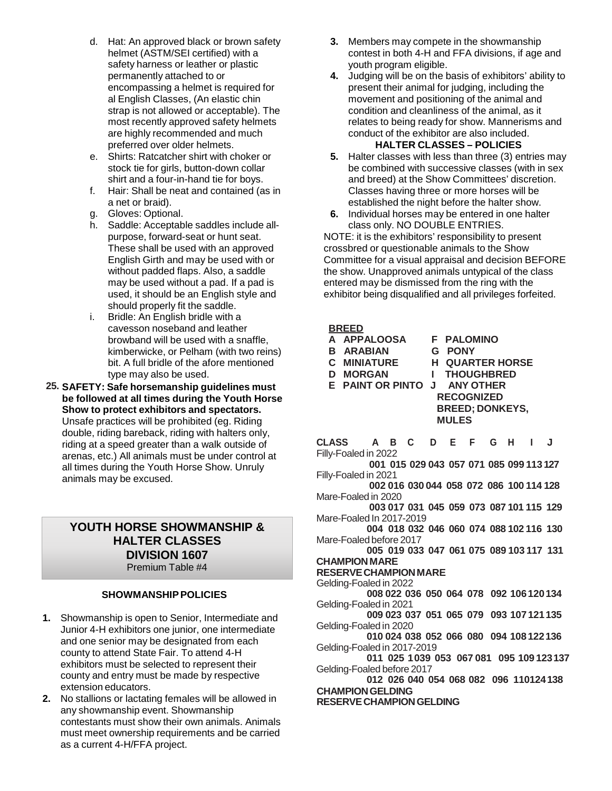- d. Hat: An approved black or brown safety helmet (ASTM/SEI certified) with a safety harness or leather or plastic permanently attached to or encompassing a helmet is required for al English Classes, (An elastic chin strap is not allowed or acceptable). The most recently approved safety helmets are highly recommended and much preferred over older helmets.
- e. Shirts: Ratcatcher shirt with choker or stock tie for girls, button-down collar shirt and a four-in-hand tie for boys.
- f. Hair: Shall be neat and contained (as in a net or braid).
- g. Gloves: Optional.
- h. Saddle: Acceptable saddles include allpurpose, forward-seat or hunt seat. These shall be used with an approved English Girth and may be used with or without padded flaps. Also, a saddle may be used without a pad. If a pad is used, it should be an English style and should properly fit the saddle.
- i. Bridle: An English bridle with a cavesson noseband and leather browband will be used with a snaffle, kimberwicke, or Pelham (with two reins) bit. A full bridle of the afore mentioned type may also be used.
- **25. SAFETY: Safe horsemanship guidelines must be followed at all times during the Youth Horse Show to protect exhibitors and spectators.** Unsafe practices will be prohibited (eg. Riding double, riding bareback, riding with halters only, riding at a speed greater than a walk outside of arenas, etc.) All animals must be under control at all times during the Youth Horse Show. Unruly animals may be excused.

## **YOUTH HORSE SHOWMANSHIP & HALTER CLASSES DIVISION 1607** Premium Table #4

## **SHOWMANSHIPPOLICIES**

- **1.** Showmanship is open to Senior, Intermediate and Junior 4-H exhibitors one junior, one intermediate and one senior may be designated from each county to attend State Fair. To attend 4-H exhibitors must be selected to represent their county and entry must be made by respective extension educators.
- **2.** No stallions or lactating females will be allowed in any showmanship event. Showmanship contestants must show their own animals. Animals must meet ownership requirements and be carried as a current 4-H/FFA project.
- **3.** Members may compete in the showmanship contest in both 4-H and FFA divisions, if age and youth program eligible.
- **4.** Judging will be on the basis of exhibitors' ability to present their animal for judging, including the movement and positioning of the animal and condition and cleanliness of the animal, as it relates to being ready for show. Mannerisms and conduct of the exhibitor are also included. **HALTER CLASSES – POLICIES**

- **5.** Halter classes with less than three (3) entries may be combined with successive classes (with in sex and breed) at the Show Committees' discretion. Classes having three or more horses will be established the night before the halter show.
- **6.** Individual horses may be entered in one halter class only. NO DOUBLE ENTRIES.

NOTE: it is the exhibitors' responsibility to present crossbred or questionable animals to the Show Committee for a visual appraisal and decision BEFORE the show. Unapproved animals untypical of the class entered may be dismissed from the ring with the exhibitor being disqualified and all privileges forfeited.

#### **BREED**

**A APPALOOSA F PALOMINO B ARABIAN<br>C MINIATURE C MINIATURE H QUARTER HORSE I** THOUGHBRED **E PAINT OR PINTO J ANY OTHER RECOGNIZED BREED; DONKEYS, MULES**

**CLASS A B C D E F G H I J** Filly-Foaled in 2022

**001 015 029 043 057 071 085 099 113 127** Filly-Foaled in 2021

**002 016 030 044 058 072 086 100 114 128** Mare-Foaled in 2020

**003 017 031 045 059 073 087 101 115 129** Mare-Foaled In 2017-2019

**004 018 032 046 060 074 088 102 116 130** Mare-Foaled before 2017

**005 019 033 047 061 075 089 103 117 131 CHAMPIONMARE**

#### **RESERVECHAMPIONMARE**

Gelding-Foaled in 2022

**008 022 036 050 064 078 092 106120134** Gelding-Foaled in 2021

**009 023 037 051 065 079 093 107121135** Gelding-Foaled in 2020

**010 024 038 052 066 080 094 108122136** Gelding-Foaled in 2017-2019

**011 025 1039 053 067 081 095 109 123137** Gelding-Foaled before 2017

**012 026 040 054 068 082 096 110124138 CHAMPIONGELDING**

**RESERVECHAMPIONGELDING**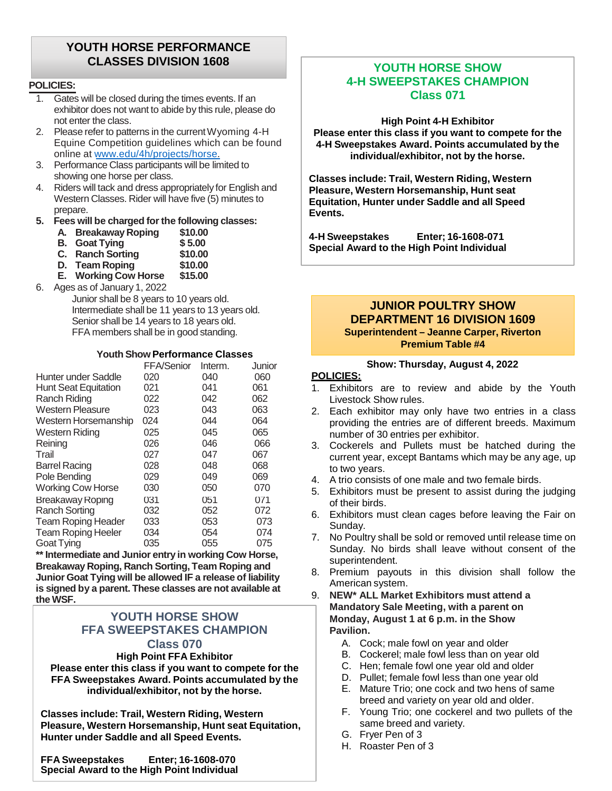## **YOUTH HORSE PERFORMANCE CLASSES DIVISION 1608**

#### **POLICIES:**

- 1. Gates will be closed during the times events. If an exhibitor does not want to abide by this rule, please do not enter the class.
- 2. Please refer to patterns in the current Wyoming 4-H Equine Competition guidelines which can be found online at www.edu/4h/projects/horse.
- 3. Performance Class participants will be limited to showing one horse per class.
- 4. Riders will tack and dress appropriately for English and Western Classes. Rider will have five (5) minutes to prepare.

#### **5. Fees will be charged forthe following classes:**

| А.                       | <b>Breakaway Roping</b> | \$10.00 |
|--------------------------|-------------------------|---------|
|                          | <b>B.</b> Goat Tying    | \$5.00  |
| $\overline{\phantom{a}}$ |                         | .       |

- **C. Ranch Sorting \$10.00**
- **D.** Team Roping \$10.00<br>**E.** Working Cow Horse \$15.00 **E.** Working Cow Horse
- 6. Ages as of January 1, 2022

Junior shall be 8 years to 10 years old. Intermediate shall be 11 years to 13 years old. Senior shall be 14 years to 18 years old. FFA members shall be in good standing.

#### **YouthShow Performance Classes**

|                             | FFA/Senior | Interm. | Junior |
|-----------------------------|------------|---------|--------|
| Hunter under Saddle         | 020        | 040     | 060    |
| <b>Hunt Seat Equitation</b> | 021        | 041     | 061    |
| Ranch Riding                | 022        | 042     | 062    |
| <b>Western Pleasure</b>     | 023        | 043     | 063    |
| Western Horsemanship        | 024        | 044     | 064    |
| Western Riding              | 025        | 045     | 065    |
| Reining                     | 026        | 046     | 066    |
| Trail                       | 027        | 047     | 067    |
| <b>Barrel Racing</b>        | 028        | 048     | 068    |
| Pole Bending                | 029        | 049     | 069    |
| <b>Working Cow Horse</b>    | 030        | 050     | 070    |
| <b>Breakaway Roping</b>     | 031        | 051     | 071    |
| <b>Ranch Sorting</b>        | 032        | 052     | 072    |
| <b>Team Roping Header</b>   | 033        | 053     | 073    |
| <b>Team Roping Heeler</b>   | 034        | 054     | 074    |
| Goat Tying                  | 035        | 055     | 075    |

**\*\*Intermediate and Junior entry in working Cow Horse, Breakaway Roping, Ranch Sorting, Team Roping and Junior Goat Tying will be allowed IF a release of liability is signed by a parent. These classes are not available at the WSF.**

### **YOUTH HORSE SHOW FFA SWEEPSTAKES CHAMPION Class 070**

**High Point FFA Exhibitor**

**Please enter this class if you want to compete for the FFA Sweepstakes Award. Points accumulated by the individual/exhibitor, not by the horse.**

**Classes include: Trail, Western Riding, Western Pleasure, Western Horsemanship, Hunt seat Equitation, Hunter under Saddle and all Speed Events.**

**Special Award to the High Point Individual FFA Sweepstakes Enter; 16-1608-070**

## **YOUTH HORSE SHOW 4-H SWEEPSTAKES CHAMPION Class 071**

**High Point 4-H Exhibitor Please enter this class if you want to compete for the 4-H Sweepstakes Award. Points accumulated by the individual/exhibitor, not by the horse.**

**Classes include: Trail, Western Riding, Western Pleasure, Western Horsemanship, Hunt seat Equitation, Hunter under Saddle and all Speed Events.**

**4-H Sweepstakes Enter; 16-1608-071 Special Award to the High Point Individual**

#### **JUNIOR POULTRY SHOW DEPARTMENT 16 DIVISION 1609 Superintendent – Jeanne Carper, Riverton Premium Table #4**

#### **Show: Thursday, August 4, 2022**

- 1. Exhibitors are to review and abide by the Youth Livestock Show rules.
- 2. Each exhibitor may only have two entries in a class providing the entries are of different breeds. Maximum number of 30 entries per exhibitor.
- 3. Cockerels and Pullets must be hatched during the current year, except Bantams which may be any age, up to two years.
- 4. A trio consists of one male and two female birds.
- 5. Exhibitors must be present to assist during the judging of their birds.
- 6. Exhibitors must clean cages before leaving the Fair on Sunday.
- 7. No Poultry shall be sold or removed until release time on Sunday. No birds shall leave without consent of the superintendent.
- 8. Premium payouts in this division shall follow the American system.
- 9. **NEW\* ALL Market Exhibitors must attend a Mandatory Sale Meeting, with a parent on Monday, August 1 at 6 p.m. in the Show Pavilion.**
	- A. Cock; male fowl on year and older
	- B. Cockerel; male fowl less than on year old
	- C. Hen; female fowl one year old and older
	- D. Pullet; female fowl less than one year old
	- E. Mature Trio; one cock and two hens of same breed and variety on year old and older.
	- F. Young Trio; one cockerel and two pullets of the same breed and variety.
	- G. Fryer Pen of 3
	- H. Roaster Pen of 3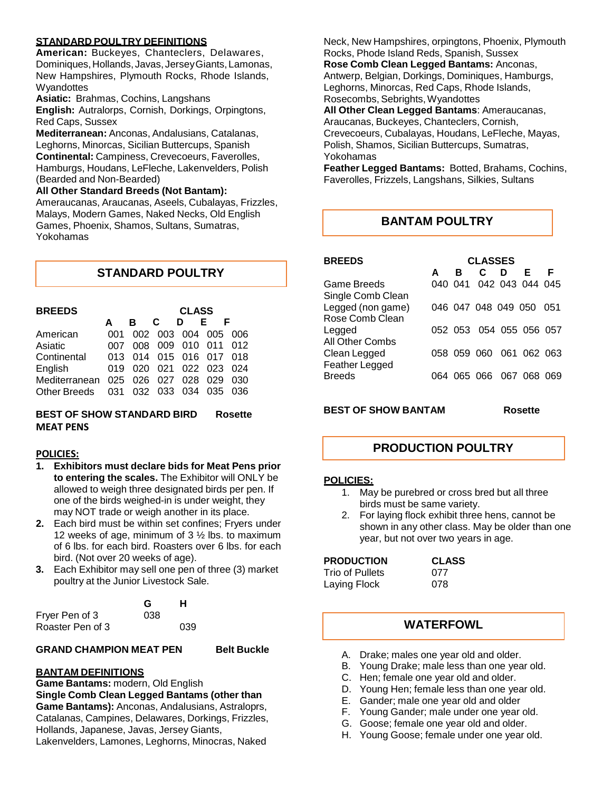#### **STANDARD POULTRY DEFINITIONS**

**American:** Buckeyes, Chanteclers, Delawares, Dominiques, Hollands, Javas, Jersey Giants, Lamonas, New Hampshires, Plymouth Rocks, Rhode Islands, **Wyandottes** 

**Asiatic:** Brahmas, Cochins, Langshans

**English:** Autralorps, Cornish, Dorkings, Orpingtons, Red Caps, Sussex

**Mediterranean:** Anconas, Andalusians, Catalanas, Leghorns, Minorcas, Sicilian Buttercups, Spanish **Continental:** Campiness, Crevecoeurs, Faverolles, Hamburgs, Houdans, LeFleche, Lakenvelders, Polish (Bearded and Non-Bearded)

**All Other Standard Breeds (Not Bantam):**

Ameraucanas, Araucanas, Aseels, Cubalayas, Frizzles, Malays, Modern Games, Naked Necks, Old English Games, Phoenix, Shamos, Sultans, Sumatras, Yokohamas

| <b>STANDARD POULTRY</b> |  |
|-------------------------|--|
|-------------------------|--|

| <b>BREEDS</b> |     | <b>CLASS</b> |     |                         |     |     |  |
|---------------|-----|--------------|-----|-------------------------|-----|-----|--|
|               | А   | в.           | C   | D                       | F.  |     |  |
| American      | 001 |              |     | 002 003 004 005         |     | 006 |  |
| Asiatic       | 007 | 008          |     | 009 010 011 012         |     |     |  |
| Continental   |     |              |     | 013 014 015 016 017 018 |     |     |  |
| English       | 019 |              |     | 020 021 022 023 024     |     |     |  |
| Mediterranean | 025 | 026          | 027 | 028                     | 029 | 030 |  |
| Other Breeds  | 031 |              |     | 032 033 034 035         |     | 036 |  |

#### **BEST OF SHOW STANDARD BIRD Rosette MEAT PENS**

#### **POLICIES:**

- **1. Exhibitors must declare bids for Meat Pens prior to entering the scales.** The Exhibitor will ONLY be allowed to weigh three designated birds per pen. If one of the birds weighed-in is under weight, they may NOT trade or weigh another in its place.
- **2.** Each bird must be within set confines; Fryers under 12 weeks of age, minimum of  $3\frac{1}{2}$  lbs, to maximum of 6 lbs. for each bird. Roasters over 6 lbs. for each bird. (Not over 20 weeks of age).
- **3.** Each Exhibitor may sell one pen of three (3) market poultry at the Junior Livestock Sale.

|                  | G   | н   |  |
|------------------|-----|-----|--|
| Fryer Pen of 3   | 038 |     |  |
| Roaster Pen of 3 |     | 039 |  |

#### **GRAND CHAMPION MEAT PEN Belt Buckle**

**BANTAM DEFINITIONS**

**Game Bantams:** modern, Old English **Single Comb Clean Legged Bantams (other than Game Bantams):** Anconas, Andalusians, Astraloprs, Catalanas, Campines, Delawares, Dorkings, Frizzles, Hollands, Japanese, Javas, Jersey Giants, Lakenvelders, Lamones, Leghorns, Minocras, Naked

Neck, New Hampshires, orpingtons, Phoenix, Plymouth Rocks, Phode Island Reds, Spanish, Sussex **Rose Comb Clean Legged Bantams:** Anconas, Antwerp, Belgian, Dorkings, Dominiques, Hamburgs, Leghorns, Minorcas, Red Caps, Rhode Islands, Rosecombs, Sebrights, Wyandottes **All Other Clean Legged Bantams**: Ameraucanas, Araucanas, Buckeyes, Chanteclers, Cornish, Crevecoeurs, Cubalayas, Houdans, LeFleche, Mayas, Polish, Shamos, Sicilian Buttercups, Sumatras,

Yokohamas

**Feather Legged Bantams:** Botted, Brahams, Cochins, Faverolles, Frizzels, Langshans, Silkies, Sultans

## **BANTAM POULTRY**

| <b>BREEDS</b>                        | <b>CLASSES</b> |   |    |   |                         |   |  |  |
|--------------------------------------|----------------|---|----|---|-------------------------|---|--|--|
|                                      | A              | в | C. | D | E                       | F |  |  |
| Game Breeds<br>Single Comb Clean     |                |   |    |   | 040 041 042 043 044 045 |   |  |  |
| Legged (non game)<br>Rose Comb Clean |                |   |    |   | 046 047 048 049 050 051 |   |  |  |
| Legged<br>All Other Combs            |                |   |    |   | 052 053 054 055 056 057 |   |  |  |
| Clean Legged<br>Feather Legged       |                |   |    |   | 058 059 060 061 062 063 |   |  |  |
| Breeds                               |                |   |    |   | 064 065 066 067 068 069 |   |  |  |

**BEST OF SHOW BANTAM Rosette**

## **PRODUCTION POULTRY**

#### **POLICIES:**

- 1. May be purebred or cross bred but all three birds must be same variety.
- 2. For laying flock exhibit three hens, cannot be shown in any other class. May be older than one year, but not over two years in age.

**PRODUCTION CLASS** Trio of Pullets Laying Flock 078

## **WATERFOWL**

- A. Drake; males one year old and older.
- B. Young Drake; male less than one year old.
- C. Hen; female one year old and older.
- D. Young Hen; female less than one year old.
- E. Gander; male one year old and older
- F. Young Gander; male under one year old.
- G. Goose; female one year old and older.
- H. Young Goose; female under one year old.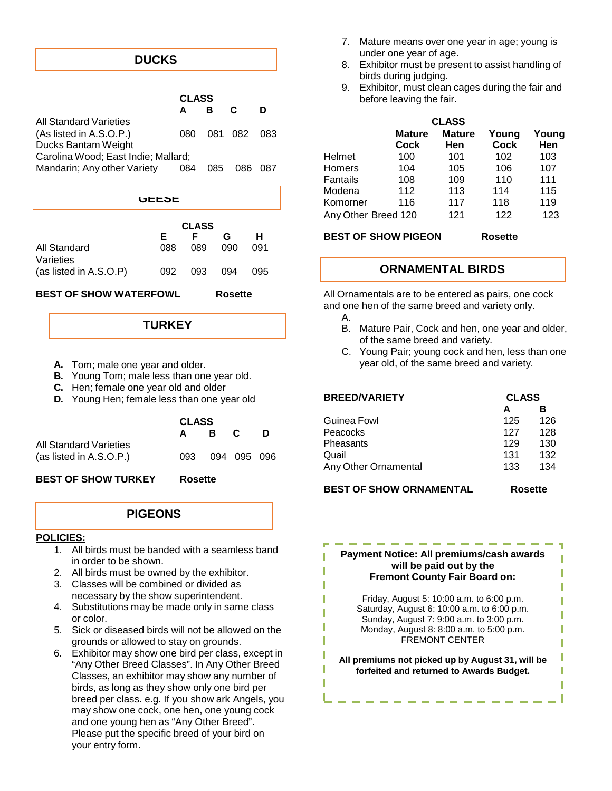## **DUCKS**

|                                     |              |              |     |     |     | ນ.       |                     | <b>Exhibitor, must clean cages during the fail an</b> |               |                |      |
|-------------------------------------|--------------|--------------|-----|-----|-----|----------|---------------------|-------------------------------------------------------|---------------|----------------|------|
|                                     |              | <b>CLASS</b> |     |     |     |          |                     | before leaving the fair.                              |               |                |      |
|                                     |              | B<br>A       |     | C   | D   |          |                     |                                                       |               |                |      |
| <b>All Standard Varieties</b>       |              |              |     |     |     |          |                     |                                                       | <b>CLASS</b>  |                |      |
| (As listed in A.S.O.P.)             |              | 080          | 081 | 082 | 083 |          |                     | <b>Mature</b>                                         | <b>Mature</b> | Young          | Your |
| Ducks Bantam Weight                 |              |              |     |     |     |          |                     | <b>Cock</b>                                           | <b>Hen</b>    | Cock           | Her  |
| Carolina Wood; East Indie; Mallard; |              |              |     |     |     | Helmet   |                     | 100                                                   | 101           | 102            | 103  |
| Mandarin; Any other Variety         |              | 084          | 085 | 086 | 087 | Homers   |                     | 104                                                   | 105           | 106            | 107  |
|                                     |              |              |     |     |     | Fantails |                     | 108                                                   | 109           | 110            | 111  |
|                                     |              |              |     |     |     | Modena   |                     | 112                                                   | 113           | 114            | 115  |
|                                     | <b>ULLOL</b> |              |     |     |     | Komorner |                     | 116                                                   | 117           | 118            | 119  |
|                                     |              |              |     |     |     |          | Any Other Breed 120 |                                                       | 121           | 122            | 123  |
|                                     |              | <b>CLASS</b> |     |     |     |          |                     |                                                       |               |                |      |
|                                     | Е            | F            |     | G   | н   |          |                     | <b>BEST OF SHOW PIGEON</b>                            |               | <b>Rosette</b> |      |
| <b>All Standard</b>                 | 088          | 089          |     | 090 | 091 |          |                     |                                                       |               |                |      |
| Varieties                           |              |              |     |     |     |          |                     |                                                       |               |                |      |
| (as listed in A.S.O.P)              | 092          | 093          |     | 094 | 095 |          |                     | <b>ORNAMENTAL BIRDS</b>                               |               |                |      |
|                                     |              |              |     |     |     |          |                     |                                                       |               |                |      |

**BEST OF SHOW WATERFOWL Rosette**

**TURKEY**

- **A.** Tom; male one year and older.
- **B.** Young Tom; male less than one year old.
- **C.** Hen; female one year old and older
- **D.** Young Hen; female less than one year old

|                         | <b>CLASS</b> |     |             |   |  |  |
|-------------------------|--------------|-----|-------------|---|--|--|
|                         | A            | B C |             | D |  |  |
| All Standard Varieties  |              |     |             |   |  |  |
| (as listed in A.S.O.P.) | 093          |     | 094 095 096 |   |  |  |
|                         |              |     |             |   |  |  |

**BEST OF SHOW TURKEY Rosette**

#### **PIGEONS**

#### **POLICIES:**

- 1. All birds must be banded with a seamless band in order to be shown.
- 2. All birds must be owned by the exhibitor.
- 3. Classes will be combined or divided as necessary by the show superintendent.
- 4. Substitutions may be made only in same class or color.
- 5. Sick or diseased birds will not be allowed on the grounds or allowed to stay on grounds.
- 6. Exhibitor may show one bird per class, except in "Any Other Breed Classes". In Any Other Breed Classes, an exhibitor may show any number of birds, as long as they show only one bird per breed per class. e.g. If you show ark Angels, you may show one cock, one hen, one young cock and one young hen as "Any Other Breed". Please put the specific breed of your bird on your entry form.
- 7. Mature means over one year in age; young is under one year of age.
- 8. Exhibitor must be present to assist handling of birds during judging.
- 9. Exhibitor, must clean cages during the fair and before leaving the fair.

|               |          |     |     |                     |                              | <b>CLASS</b>         |               |              |
|---------------|----------|-----|-----|---------------------|------------------------------|----------------------|---------------|--------------|
| 080           | 081      | 082 | 083 |                     | <b>Mature</b><br><b>Cock</b> | <b>Mature</b><br>Hen | Young<br>Cock | Young<br>Hen |
| die; Mallard; |          |     |     | Helmet              | 100                          | 101                  | 102           | 103          |
| riety<br>084  | 085      | 086 | 087 | <b>Homers</b>       | 104                          | 105                  | 106           | 107          |
|               |          |     |     | Fantails            | 108                          | 109                  | 110           | 111          |
|               |          |     |     | Modena              | 112                          | 113                  | 114           | 115          |
| ULLƏL         |          |     |     | Komorner            | 116                          | 117                  | 118           | 119          |
|               | $\cdots$ |     |     | Any Other Breed 120 |                              | 121                  | 122           | 123          |

## **ORNAMENTAL BIRDS**

All Ornamentals are to be entered as pairs, one cock and one hen of the same breed and variety only.

- A.
- B. Mature Pair, Cock and hen, one year and older, of the same breed and variety.
- C. Young Pair; young cock and hen, less than one year old, of the same breed and variety.

| <b>BREED/VARIETY</b> | <b>CLASS</b> |     |  |
|----------------------|--------------|-----|--|
|                      | А            | в   |  |
| Guinea Fowl          | 125          | 126 |  |
| Peacocks             | 127          | 128 |  |
| Pheasants            | 129          | 130 |  |
| Quail                | 131          | 132 |  |
| Any Other Ornamental | 133          | 134 |  |
|                      |              |     |  |

### **BEST OF SHOW ORNAMENTAL Rosette**

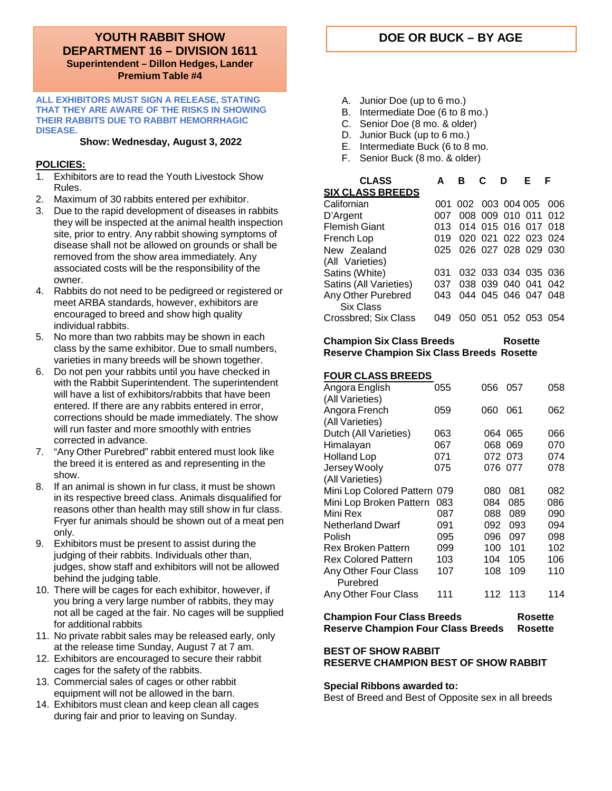#### **YOUTH RABBIT SHOW DOE OR BUCK – BY AGE DEPARTMENT 16 – DIVISION 1611 Superintendent – Dillon Hedges, Lander Premium Table #4**

#### **ALL EXHIBITORS MUST SIGN A RELEASE, STATING THAT THEY ARE AWARE OF THE RISKS IN SHOWING THEIR RABBITS DUE TO RABBIT HEMORRHAGIC DISEASE.**

#### **Show: Wednesday, August 3, 2022**

#### **POLICIES:**

- 1. Exhibitors are to read the Youth Livestock Show Rules.
- 2. Maximum of 30 rabbits entered per exhibitor.
- 3. Due to the rapid development of diseases in rabbits they will be inspected at the animal health inspection site, prior to entry. Any rabbit showing symptoms of disease shall not be allowed on grounds or shall be removed from the show area immediately. Any associated costs will be the responsibility of the owner.
- 4. Rabbits do not need to be pedigreed or registered or meet ARBA standards, however, exhibitors are encouraged to breed and show high quality individual rabbits.
- 5. No more than two rabbits may be shown in each class by the same exhibitor. Due to small numbers, varieties in many breeds will be shown together.
- 6. Do not pen your rabbits until you have checked in with the Rabbit Superintendent. The superintendent will have a list of exhibitors/rabbits that have been entered. If there are any rabbits entered in error, corrections should be made immediately. The show will run faster and more smoothly with entries corrected in advance.
- 7. "Any Other Purebred" rabbit entered must look like the breed it is entered as and representing in the show.
- 8. If an animal is shown in fur class, it must be shown in its respective breed class. Animals disqualified for reasons other than health may still show in fur class. Fryer fur animals should be shown out of a meat pen only.
- 9. Exhibitors must be present to assist during the judging of their rabbits. Individuals other than, judges, show staff and exhibitors will not be allowed behind the judging table.
- 10. There will be cages for each exhibitor, however, if you bring a very large number of rabbits, they may not all be caged at the fair. No cages will be supplied for additional rabbits
- 11. No private rabbit sales may be released early, only at the release time Sunday, August 7 at 7 am.
- 12. Exhibitors are encouraged to secure their rabbit cages for the safety of the rabbits.
- 13. Commercial sales of cages or other rabbit equipment will not be allowed in the barn.
- 14. Exhibitors must clean and keep clean all cages during fair and prior to leaving on Sunday.

- A. Junior Doe (up to 6 mo.)
- B. Intermediate Doe (6 to 8 mo.)
- C. Senior Doe (8 mo. & older)
- D. Junior Buck (up to 6 mo.)
- E. Intermediate Buck (6 to 8 mo.
- F. Senior Buck (8 mo. & older)

| <b>CLASS</b><br><b>SIX CLASS BREEDS</b> | A    | R                       | ת : מ |                     | F | - F  |
|-----------------------------------------|------|-------------------------|-------|---------------------|---|------|
| Californian                             | 001. |                         |       | 002 003 004 005     |   | 006  |
| D'Argent                                | 007  |                         |       | 008 009 010 011     |   | -012 |
| <b>Flemish Giant</b>                    | 013  |                         |       | 014 015 016 017 018 |   |      |
| French Lop                              | 019  |                         |       | 020 021 022 023 024 |   |      |
| New Zealand                             |      | 025 026 027 028 029 030 |       |                     |   |      |
| (All Varieties)                         |      |                         |       |                     |   |      |
| Satins (White)                          | 031  |                         |       | 032 033 034 035 036 |   |      |
| Satins (All Varieties)                  | 037  |                         |       | 038 039 040 041 042 |   |      |
| Any Other Purebred<br>Six Class         | 043  |                         |       | 044 045 046 047 048 |   |      |
| Crossbred; Six Class                    | 049  |                         |       | 050 051 052 053 054 |   |      |

#### **Champion Six Class Breeds Rosette Reserve Champion Six Class Breeds Rosette**

### **FOUR CLASS BREEDS**

| Angora English               | 055 | 056 | 057     | 058 |
|------------------------------|-----|-----|---------|-----|
| (All Varieties)              |     |     |         |     |
| Angora French                | 059 | 060 | 061     | 062 |
| (All Varieties)              |     |     |         |     |
| Dutch (All Varieties)        | 063 |     | 064 065 | 066 |
| Himalayan                    | 067 | 068 | 069     | 070 |
| <b>Holland Lop</b>           | 071 |     | 072 073 | 074 |
| Jersey Wooly                 | 075 |     | 076 077 | 078 |
| (All Varieties)              |     |     |         |     |
| Mini Lop Colored Pattern 079 |     | 080 | 081     | 082 |
| Mini Lop Broken Pattern      | 083 | 084 | 085     | 086 |
| Mini Rex                     | 087 | 088 | 089     | 090 |
| <b>Netherland Dwarf</b>      | 091 | 092 | 093     | 094 |
| Polish                       | 095 | 096 | 097     | 098 |
| <b>Rex Broken Pattern</b>    | 099 | 100 | 101     | 102 |
| <b>Rex Colored Pattern</b>   | 103 | 104 | 105     | 106 |
| Any Other Four Class         | 107 | 108 | 109     | 110 |
| Purebred                     |     |     |         |     |
| <b>Any Other Four Class</b>  | 111 | 112 | 113     | 114 |
|                              |     |     |         |     |

## **Champion Four Class Breeds Rosette Reserve Champion Four Class Breeds Rosette**

#### **BEST OF SHOW RABBIT RESERVE CHAMPION BEST OF SHOW RABBIT**

#### **Special Ribbons awarded to:**

Best of Breed and Best of Opposite sex in all breeds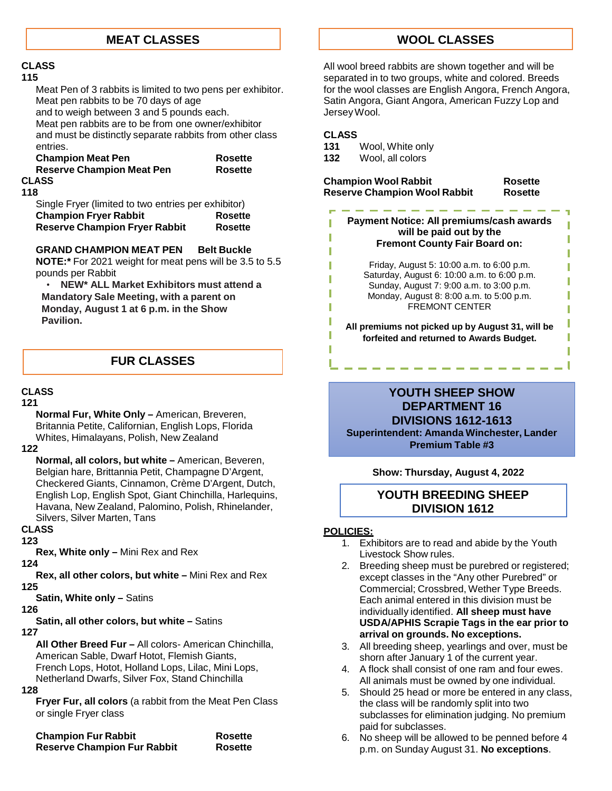#### **CLASS**

#### **115**

Meat Pen of 3 rabbits is limited to two pens per exhibitor. Meat pen rabbits to be 70 days of age and to weigh between 3 and 5 pounds each. Meat pen rabbits are to be from one owner/exhibitor and must be distinctly separate rabbits from other class entries.

| <b>Champion Meat Pen</b>         | <b>Rosette</b> |
|----------------------------------|----------------|
| <b>Reserve Champion Meat Pen</b> | <b>Rosette</b> |
| <b>CLASS</b>                     |                |

#### **118**

Single Fryer (limited to two entries per exhibitor) **Champion Fryer Rabbit Rosette Reserve Champion Fryer Rabbit Rosette**

#### **GRAND CHAMPION MEAT PEN Belt Buckle**

**NOTE:\*** For 2021 weight for meat pens will be 3.5 to 5.5 pounds per Rabbit

• **NEW\* ALL Market Exhibitors must attend a Mandatory Sale Meeting, with a parent on Monday, August 1 at 6 p.m. in the Show Pavilion.**

#### **FUR CLASSES**

#### **CLASS**

#### **121**

**Normal Fur, White Only –** American, Breveren, Britannia Petite, Californian, English Lops, Florida Whites, Himalayans, Polish, New Zealand

#### **122**

**Normal, all colors, but white –** American, Beveren, Belgian hare, Brittannia Petit, Champagne D'Argent, Checkered Giants, Cinnamon, Crème D'Argent, Dutch, English Lop, English Spot, Giant Chinchilla, Harlequins, Havana, New Zealand, Palomino, Polish, Rhinelander, Silvers, Silver Marten, Tans

#### **CLASS**

**123**

**Rex, White only –** Mini Rex and Rex

**124**

**Rex, all other colors, but white –** Mini Rex and Rex **125**

**Satin, White only –** Satins

#### **126**

**Satin, all other colors, but white –** Satins

**127**

**All Other Breed Fur –** All colors- American Chinchilla, American Sable, Dwarf Hotot, Flemish Giants, French Lops, Hotot, Holland Lops, Lilac, Mini Lops, Netherland Dwarfs, Silver Fox, Stand Chinchilla

#### **128**

**Fryer Fur, all colors** (a rabbit from the Meat Pen Class or single Fryer class

| <b>Champion Fur Rabbit</b>         | Rosette |
|------------------------------------|---------|
| <b>Reserve Champion Fur Rabbit</b> | Rosette |

**MEAT CLASSES WOOL CLASSES**

All wool breed rabbits are shown together and will be separated in to two groups, white and colored. Breeds for the wool classes are English Angora, French Angora, Satin Angora, Giant Angora, American Fuzzy Lop and JerseyWool.

# **CLASS**

ī

- **131** Wool, White only
- **132** Wool, all colors

**Champion Wool Rabbit Rosette Reserve Champion Wool Rabbit Rosette**

ï ı ī ī Ī Ī

ı

**Payment Notice: All premiums/cash awards will be paid out by the Fremont County Fair Board on:**

> Friday, August 5: 10:00 a.m. to 6:00 p.m. Saturday, August 6: 10:00 a.m. to 6:00 p.m. Sunday, August 7: 9:00 a.m. to 3:00 p.m. Monday, August 8: 8:00 a.m. to 5:00 p.m. FREMONT CENTER

**All premiums not picked up by August 31, will be forfeited and returned to Awards Budget.**

## **YOUTH SHEEP SHOW DEPARTMENT 16 DIVISIONS 1612-1613 Superintendent: Amanda Winchester, Lander Premium Table #3**

**Show: Thursday, August 4, 2022**

## **YOUTH BREEDING SHEEP DIVISION 1612**

- 1. Exhibitors are to read and abide by the Youth Livestock Show rules.
- 2. Breeding sheep must be purebred or registered; except classes in the "Any other Purebred" or Commercial; Crossbred, Wether Type Breeds. Each animal entered in this division must be individually identified. **All sheep must have USDA/APHIS Scrapie Tags in the ear prior to arrival on grounds. No exceptions.**
- 3. All breeding sheep, yearlings and over, must be shorn after January 1 of the current year.
- 4. A flock shall consist of one ram and four ewes. All animals must be owned by one individual.
- 5. Should 25 head or more be entered in any class, the class will be randomly split into two subclasses for elimination judging. No premium paid for subclasses.
- 6. No sheep will be allowed to be penned before 4 p.m. on Sunday August 31. **No exceptions**.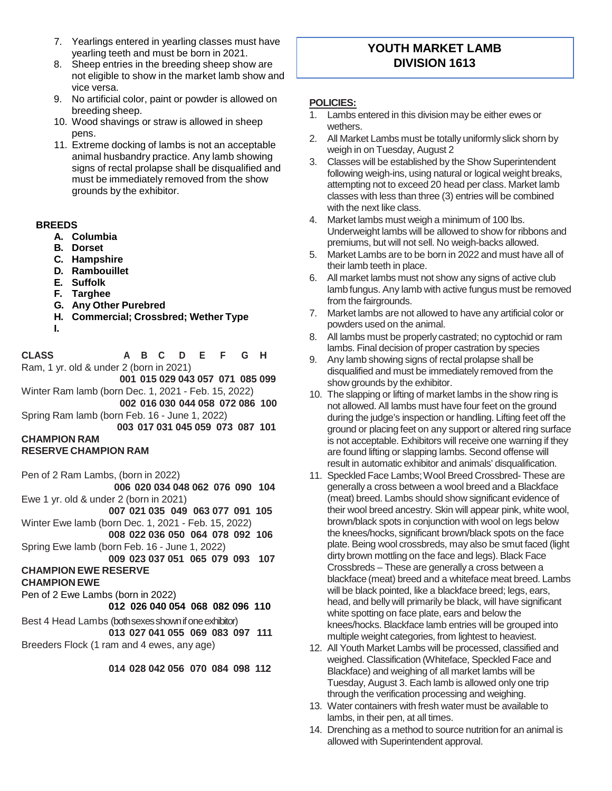- 7. Yearlings entered in yearling classes must have yearling teeth and must be born in 2021.
- 8. Sheep entries in the breeding sheep show are not eligible to show in the market lamb show and vice versa.
- 9. No artificial color, paint or powder is allowed on breeding sheep.
- 10. Wood shavings or straw is allowed in sheep pens.
- 11. Extreme docking of lambs is not an acceptable animal husbandry practice. Any lamb showing signs of rectal prolapse shall be disqualified and must be immediately removed from the show grounds by the exhibitor.

#### **BREEDS**

- **A. Columbia**
- **B. Dorset**
- **C. Hampshire**
- **D. Rambouillet**
- **E. Suffolk**
- **F. Targhee**
- **G. Any Other Purebred**
- **H. Commercial; Crossbred; Wether Type**
- **I.**

**CLASS A B C D E F G H** Ram, 1 yr. old & under 2 (born in 2021)

**001 015 029 043 057 071 085 099** Winter Ram lamb (born Dec. 1, 2021 - Feb. 15, 2022)

**002 016 030 044 058 072 086 100** Spring Ram lamb (born Feb. 16 - June 1, 2022)

**003 017 031 045 059 073 087 101 CHAMPION RAM**

## **RESERVE CHAMPION RAM**

Pen of 2 Ram Lambs, (born in 2022)

**006 020 034 048 062 076 090 104** Ewe 1 yr. old & under 2 (born in 2021) **007 021 035 049 063 077 091 105** Winter Ewe lamb (born Dec. 1, 2021 - Feb. 15, 2022)

- **008 022 036 050 064 078 092 106** Spring Ewe lamb (born Feb. 16 - June 1, 2022)
- **009 023 037 051 065 079 093 107**

## **CHAMPION EWE RESERVE**

**CHAMPION EWE**

Pen of 2 Ewe Lambs (born in 2022)

**012 026 040 054 068 082 096 110**

Best 4 Head Lambs (both sexes shown if one exhibitor) **013 027 041 055 069 083 097 111** Breeders Flock (1 ram and 4 ewes, any age)

**014 028 042 056 070 084 098 112**

## **YOUTH MARKET LAMB DIVISION 1613**

- 1. Lambs entered in this division may be either ewes or wethers.
- 2. All Market Lambs must be totally uniformly slick shorn by weigh in on Tuesday, August 2
- 3. Classes will be established by the Show Superintendent following weigh-ins, using natural or logical weight breaks, attempting not to exceed 20 head per class. Market lamb classes with less than three (3) entries will be combined with the next like class.
- 4. Market lambs must weigh a minimum of 100 lbs. Underweight lambs will be allowed to show for ribbons and premiums, but will not sell. No weigh-backs allowed.
- 5. Market Lambs are to be born in 2022 and must have all of their lamb teeth in place.
- 6. All market lambs must not show any signs of active club lamb fungus. Any lamb with active fungus must be removed from the fairgrounds.
- 7. Market lambs are not allowed to have any artificial color or powders used on the animal.
- 8. All lambs must be properly castrated; no cyptochid or ram lambs. Final decision of proper castration by species
- 9. Any lamb showing signs of rectal prolapse shall be disqualified and must be immediately removed from the show grounds by the exhibitor.
- 10. The slapping or lifting of market lambs in the show ring is not allowed. All lambs must have four feet on the ground during the judge's inspection or handling. Lifting feet off the ground or placing feet on any support or altered ring surface is not acceptable. Exhibitors will receive one warning if they are found lifting or slapping lambs. Second offense will result in automatic exhibitor and animals' disqualification.
- 11. Speckled Face Lambs; Wool Breed Crossbred- These are generallya cross between a wool breed and a Blackface (meat) breed. Lambs should show significant evidence of their wool breed ancestry. Skin will appear pink, white wool, brown/black spots in conjunction with wool on legs below the knees/hocks, significant brown/black spots on the face plate. Being wool crossbreds, may also be smut faced (light dirty brown mottling on the face and legs). Black Face Crossbreds – These are generally a cross between a blackface (meat) breed and a whiteface meat breed. Lambs will be black pointed, like a blackface breed; legs, ears, head, and belly will primarily be black, will have significant white spotting on face plate, ears and below the knees/hocks. Blackface lamb entries will be grouped into multiple weight categories, from lightest to heaviest.
- 12. All Youth Market Lambs will be processed, classified and weighed. Classification (Whiteface, Speckled Face and Blackface) and weighing of all market lambs will be Tuesday, August 3. Each lamb is allowed only one trip through the verification processing and weighing.
- 13. Water containers with fresh water must be available to lambs, in their pen, at all times.
- 14. Drenching as a method to source nutrition for an animal is allowed with Superintendent approval.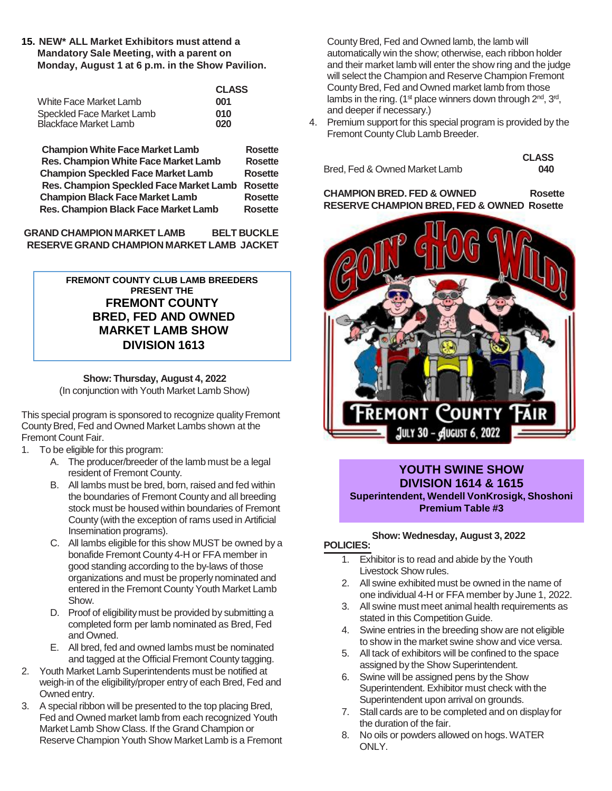**15. NEW\* ALL Market Exhibitors must attend a Mandatory Sale Meeting, with a parent on Monday, August 1 at 6 p.m. in the Show Pavilion.**

|                              | <b>CLASS</b> |
|------------------------------|--------------|
| White Face Market Lamb       | 001          |
| Speckled Face Market Lamb    | 010          |
| <b>Blackface Market Lamb</b> | 020          |

**Champion White Face Market Lamb Rosette Res. Champion White Face Market Lamb Rosette Champion Speckled Face Market Lamb Rosette Res. Champion Speckled Face Market Lamb Rosette Champion Black Face Market Lamb Rosette Res. Champion Black Face Market Lamb Rosette**

**GRAND CHAMPION MARKET LAMB BELT BUCKLE RESERVEGRAND CHAMPION MARKET LAMB JACKET**

> **FREMONT COUNTY CLUB LAMB BREEDERS PRESENT THE FREMONT COUNTY BRED, FED AND OWNED MARKET LAMB SHOW DIVISION 1613**

#### **Show: Thursday, August 4, 2022**

(In conjunction with Youth Market Lamb Show)

This special program is sponsored to recognize quality Fremont CountyBred, Fed and Owned Market Lambs shown at the Fremont Count Fair.

- 1. To be eligible for this program:
	- A. The producer/breeder of the lamb must be a legal resident of Fremont County.
	- B. All lambs must be bred, born, raised and fed within the boundaries of Fremont County and all breeding stock must be housed within boundaries of Fremont County (with the exception of rams used in Artificial Insemination programs).
	- C. All lambs eligible for this show MUST be owned by a **POLICIES:** bonafide Fremont County 4-H or FFA member in good standing according to the by-laws of those organizations and must be properly nominated and entered in the Fremont County Youth Market Lamb Show.
	- D. Proof of eligibility must be provided by submitting a completed form per lamb nominated as Bred, Fed and Owned.
	- E. All bred, fed and owned lambs must be nominated and tagged at the Official Fremont County tagging.
- 2. Youth Market Lamb Superintendents must be notified at weigh-in of the eligibility/proper entry of each Bred, Fed and Owned entry.
- 3. A special ribbon will be presented to the top placing Bred, Fed and Owned market lamb from each recognized Youth Market Lamb Show Class. If the Grand Champion or Reserve Champion Youth Show Market Lamb is a Fremont

County Bred, Fed and Owned lamb, the lamb will automatically win the show; otherwise, each ribbon holder and their market lamb will enter the show ring and the judge will select the Champion and Reserve Champion Fremont CountyBred, Fed and Owned market lamb from those lambs in the ring. (1<sup>st</sup> place winners down through  $2<sup>nd</sup>$ ,  $3<sup>rd</sup>$ , and deeper if necessary.)

4. Premium support for this special program is provided by the Fremont County Club Lamb Breeder.

Bred, Fed & Owned Market Lamb **040**

**CLASS**

**CHAMPION BRED. FED & OWNED Rosette RESERVE CHAMPION BRED, FED & OWNED Rosette**



#### **YOUTH SWINE SHOW DIVISION 1614 & 1615 Superintendent, Wendell VonKrosigk, Shoshoni Premium Table #3**

# **Show: Wednesday, August 3, 2022**

- 1. Exhibitor is to read and abide by the Youth Livestock Show rules.
- 2. All swine exhibited must be owned in the name of one individual 4-H or FFA member by June 1, 2022.
- 3. All swine must meet animal health requirements as stated in this Competition Guide.
- 4. Swine entries in the breeding show are not eligible to show in the market swine show and vice versa.
- 5. All tack of exhibitors will be confined to the space assigned by the Show Superintendent.
- 6. Swine will be assigned pens by the Show Superintendent. Exhibitor must check with the Superintendent upon arrival on grounds.
- 7. Stall cards are to be completed and on display for the duration of the fair.
- 8. No oils or powders allowed on hogs.WATER ONLY.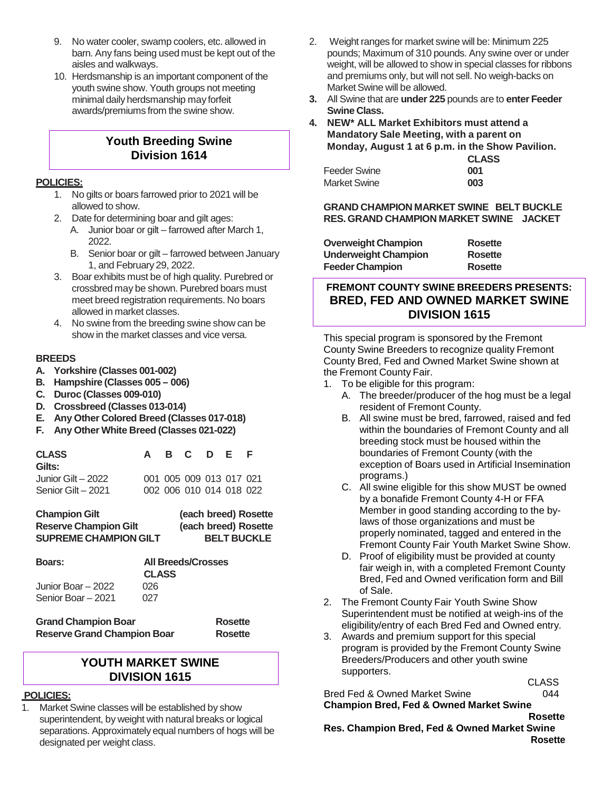- 9. No water cooler, swamp coolers, etc. allowed in barn. Any fans being used must be kept out of the aisles and walkways.
- 10. Herdsmanship is an important component of the youth swine show. Youth groups not meeting minimal daily herdsmanship may forfeit awards/premiums from the swine show.

## **Youth Breeding Swine Division 1614**

#### **POLICIES:**

- 1. No gilts or boars farrowed prior to 2021 will be allowed to show.
- 2. Date for determining boar and gilt ages:
	- A. Junior boar or gilt farrowed after March 1, 2022.
	- B. Senior boar or gilt farrowed between January 1, and February 29, 2022.
- 3. Boar exhibits must be of high quality. Purebred or crossbred may be shown. Purebred boars must meet breed registration requirements. No boars allowed in market classes.
- 4. No swine from the breeding swine show can be show in the market classes and vice versa.

#### **BREEDS**

- **A. Yorkshire (Classes 001-002)**
- **B. Hampshire (Classes 005 – 006)**
- **C. Duroc (Classes 009-010)**
- **D. Crossbreed (Classes 013-014)**
- **E. Any Other Colored Breed (Classes 017-018)**
- **F. Any Other White Breed (Classes 021-022)**

| <b>CLASS</b><br>Gilts: |  | A B C D E |                         | - F |
|------------------------|--|-----------|-------------------------|-----|
| Junior Gilt – 2022     |  |           | 001 005 009 013 017 021 |     |
| Senior Gilt - 2021     |  |           | 002 006 010 014 018 022 |     |

| <b>Champion Gilt</b>         | (each breed) Rosette |
|------------------------------|----------------------|
| <b>Reserve Champion Gilt</b> | (each breed) Rosette |
| <b>SUPREME CHAMPION GILT</b> | <b>BELT BUCKLE</b>   |

| <b>Boars:</b>      | <b>All Breeds/Crosses</b><br><b>CLASS</b> |
|--------------------|-------------------------------------------|
| Junior Boar – 2022 | 026                                       |
| Senior Boar - 2021 | 027                                       |

**Grand Champion Boar Rosette Reserve Grand Champion Boar Rosette**

## **YOUTH MARKET SWINE DIVISION 1615**

#### **POLICIES:**

1. Market Swine classes will be established by show superintendent, by weight with natural breaks or logical separations. Approximately equal numbers of hogs will be designated per weight class.

- 2. Weight ranges for market swine will be: Minimum 225 pounds; Maximum of 310 pounds. Any swine over or under weight, will be allowed to show in special classes for ribbons and premiums only, but will not sell. No weigh-backs on Market Swine will be allowed.
- **3.** All Swine that are **under 225** pounds are to **enter Feeder Swine Class.**
- **4. NEW\* ALL Market Exhibitors must attend a Mandatory Sale Meeting, with a parent on Monday, August 1 at 6 p.m. in the Show Pavilion. CLASS**

|                     | <b>VLA</b> |
|---------------------|------------|
| Feeder Swine        | 001        |
| <b>Market Swine</b> | 003        |

## **GRAND CHAMPION MARKET SWINE BELT BUCKLE RES. GRAND CHAMPION MARKET SWINE JACKET**

| Rosette |
|---------|
| Rosette |
| Rosette |
|         |

## **FREMONT COUNTY SWINE BREEDERS PRESENTS: BRED, FED AND OWNED MARKET SWINE DIVISION 1615**

This special program is sponsored by the Fremont County Swine Breeders to recognize quality Fremont County Bred, Fed and Owned Market Swine shown at the Fremont County Fair.

- 1. To be eligible for this program:
	- A. The breeder/producer of the hog must be a legal resident of Fremont County.
	- B. All swine must be bred, farrowed, raised and fed within the boundaries of Fremont County and all breeding stock must be housed within the boundaries of Fremont County (with the exception of Boars used in Artificial Insemination programs.)
	- C. All swine eligible for this show MUST be owned by a bonafide Fremont County 4-H or FFA Member in good standing according to the bylaws of those organizations and must be properly nominated, tagged and entered in the Fremont County Fair Youth Market Swine Show.
	- D. Proof of eligibility must be provided at county fair weigh in, with a completed Fremont County Bred, Fed and Owned verification form and Bill of Sale.
- 2. The Fremont County Fair Youth Swine Show Superintendent must be notified at weigh-ins of the eligibility/entry of each Bred Fed and Owned entry.
- 3. Awards and premium support for this special program is provided by the Fremont County Swine Breeders/Producers and other youth swine supporters.

**CLASS** 

Bred Fed & Owned Market Swine **CAMER 1944 Champion Bred, Fed & Owned Market Swine**

**Rosette Res. Champion Bred, Fed & Owned Market Swine Rosette**